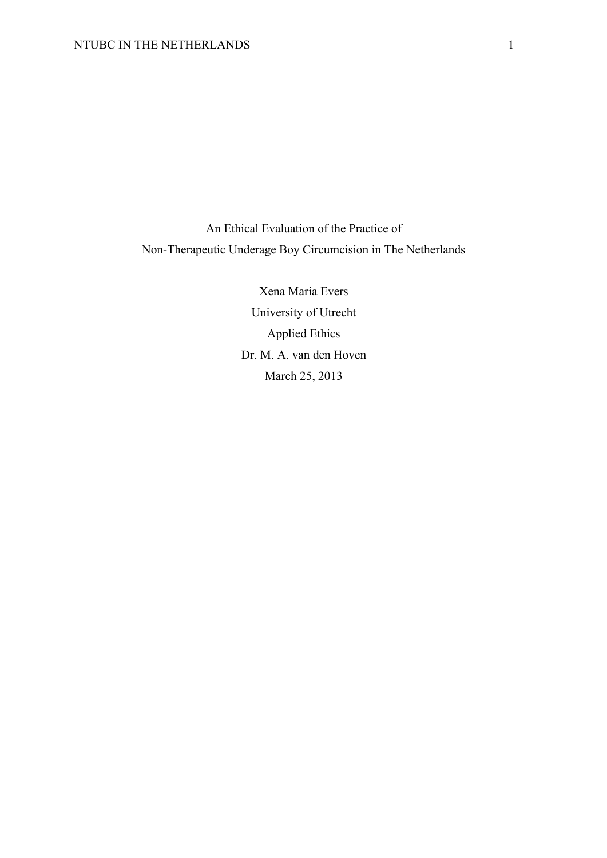An Ethical Evaluation of the Practice of Non-Therapeutic Underage Boy Circumcision in The Netherlands

> Xena Maria Evers University of Utrecht Applied Ethics Dr. M. A. van den Hoven March 25, 2013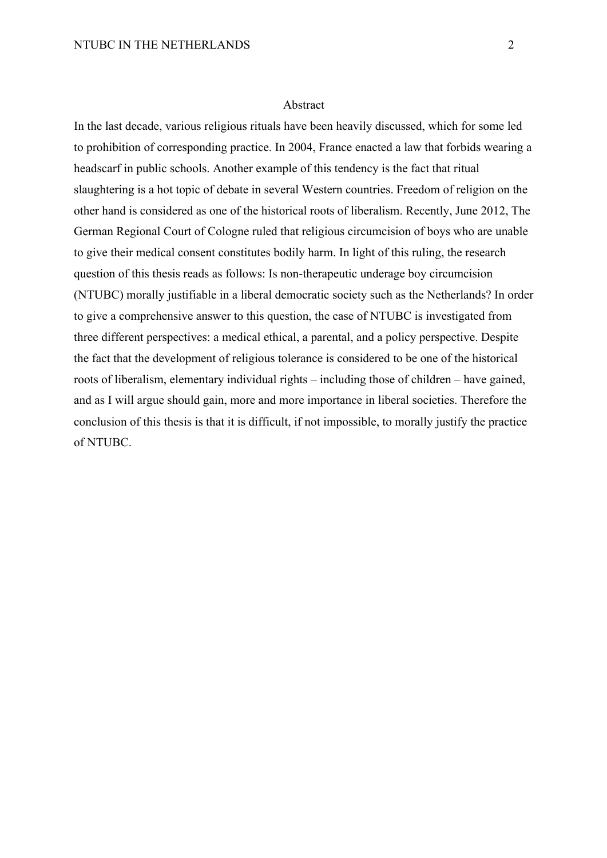### Abstract

In the last decade, various religious rituals have been heavily discussed, which for some led to prohibition of corresponding practice. In 2004, France enacted a law that forbids wearing a headscarf in public schools. Another example of this tendency is the fact that ritual slaughtering is a hot topic of debate in several Western countries. Freedom of religion on the other hand is considered as one of the historical roots of liberalism. Recently, June 2012, The German Regional Court of Cologne ruled that religious circumcision of boys who are unable to give their medical consent constitutes bodily harm. In light of this ruling, the research question of this thesis reads as follows: Is non-therapeutic underage boy circumcision (NTUBC) morally justifiable in a liberal democratic society such as the Netherlands? In order to give a comprehensive answer to this question, the case of NTUBC is investigated from three different perspectives: a medical ethical, a parental, and a policy perspective. Despite the fact that the development of religious tolerance is considered to be one of the historical roots of liberalism, elementary individual rights – including those of children – have gained, and as I will argue should gain, more and more importance in liberal societies. Therefore the conclusion of this thesis is that it is difficult, if not impossible, to morally justify the practice of NTUBC.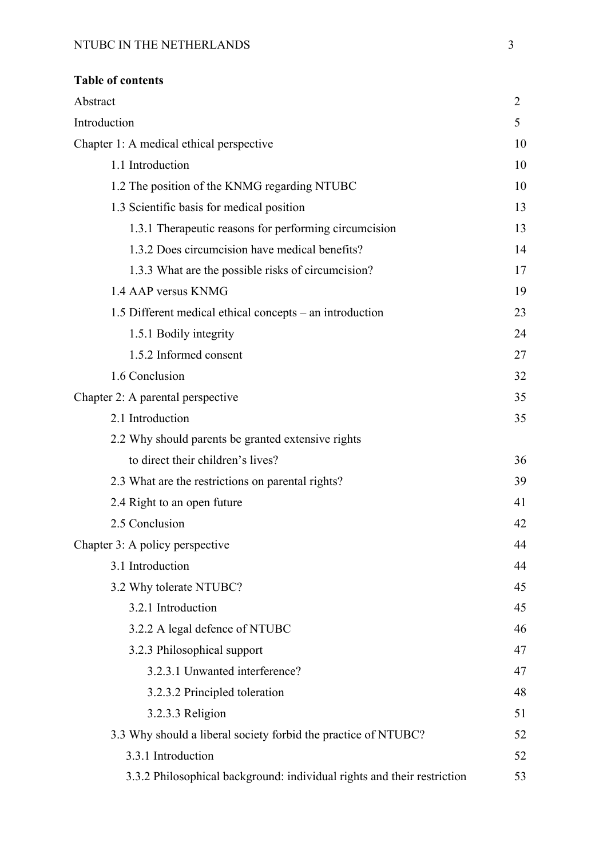| <b>Table of contents</b>                                 |                |
|----------------------------------------------------------|----------------|
| Abstract                                                 | $\overline{2}$ |
| Introduction                                             | 5              |
| Chapter 1: A medical ethical perspective                 | 10             |
| 1.1 Introduction                                         | 10             |
| 1.2 The position of the KNMG regarding NTUBC             | 10             |
| 1.3 Scientific basis for medical position                | 13             |
| 1.3.1 Therapeutic reasons for performing circumcision    | 13             |
| 1.3.2 Does circumcision have medical benefits?           | 14             |
| 1.3.3 What are the possible risks of circumcision?       | 17             |
| 1.4 AAP versus KNMG                                      | 19             |
| 1.5 Different medical ethical concepts - an introduction | 23             |
| 1.5.1 Bodily integrity                                   | 24             |
| 1.5.2 Informed consent                                   | 27             |
| 1.6 Conclusion                                           | 32             |
| Chapter 2: A parental perspective                        | 35             |
| 2.1 Introduction                                         | 35             |
| 2.2 Why should parents be granted extensive rights       |                |
| to direct their children's lives?                        | 36             |
| 2.3 What are the restrictions on parental rights?        | 39             |
|                                                          |                |

| 2.4 Right to an open future     | 41 |
|---------------------------------|----|
| 2.5 Conclusion                  | 42 |
| Chapter 3: A policy perspective | 44 |
| 3.1 Introduction                | 44 |
| 3.2 Why tolerate NTUBC?         | 45 |
| 3.2.1 Introduction              | 45 |
| 3.2.2 A legal defence of NTUBC  | 46 |
| 3.2.3 Philosophical support     | 47 |
| 3.2.3.1 Unwanted interference?  | 47 |
| 3.2.3.2 Principled toleration   | 48 |
| 3.2.3.3 Religion                | 51 |

| 3.3 Why should a liberal society forbid the practice of NTUBC? |    |  |  |
|----------------------------------------------------------------|----|--|--|
| 3.3.1 Introduction                                             | 52 |  |  |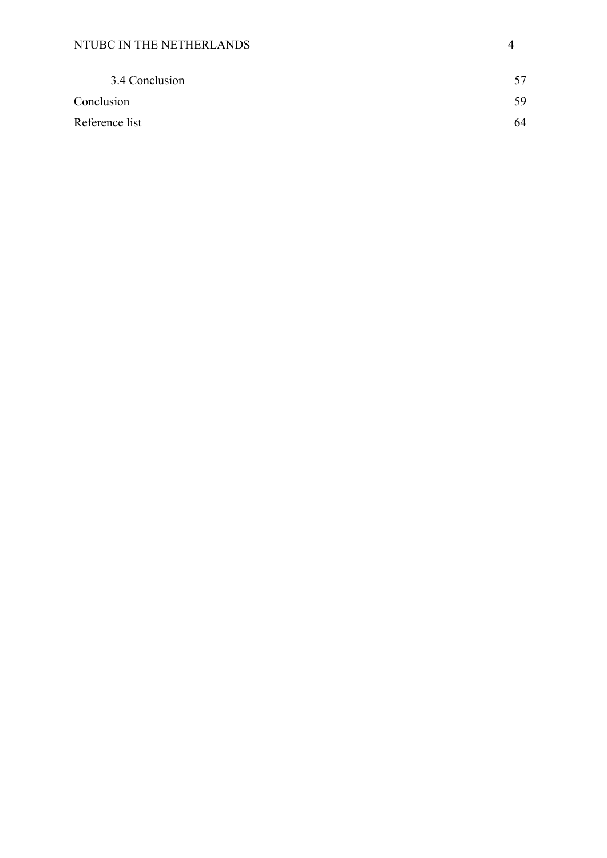| 3.4 Conclusion | 57 |
|----------------|----|
| Conclusion     | 59 |
| Reference list | 64 |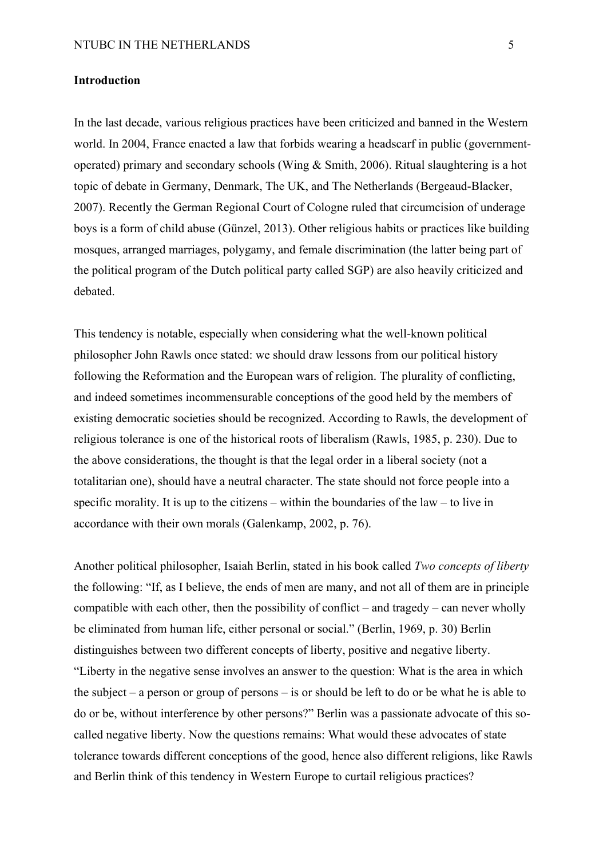#### **Introduction**

In the last decade, various religious practices have been criticized and banned in the Western world. In 2004, France enacted a law that forbids wearing a headscarf in public (governmentoperated) primary and secondary schools (Wing & Smith, 2006). Ritual slaughtering is a hot topic of debate in Germany, Denmark, The UK, and The Netherlands (Bergeaud-Blacker, 2007). Recently the German Regional Court of Cologne ruled that circumcision of underage boys is a form of child abuse (Günzel, 2013). Other religious habits or practices like building mosques, arranged marriages, polygamy, and female discrimination (the latter being part of the political program of the Dutch political party called SGP) are also heavily criticized and debated.

This tendency is notable, especially when considering what the well-known political philosopher John Rawls once stated: we should draw lessons from our political history following the Reformation and the European wars of religion. The plurality of conflicting, and indeed sometimes incommensurable conceptions of the good held by the members of existing democratic societies should be recognized. According to Rawls, the development of religious tolerance is one of the historical roots of liberalism (Rawls, 1985, p. 230). Due to the above considerations, the thought is that the legal order in a liberal society (not a totalitarian one), should have a neutral character. The state should not force people into a specific morality. It is up to the citizens – within the boundaries of the law – to live in accordance with their own morals (Galenkamp, 2002, p. 76).

Another political philosopher, Isaiah Berlin, stated in his book called *Two concepts of liberty* the following: "If, as I believe, the ends of men are many, and not all of them are in principle compatible with each other, then the possibility of conflict – and tragedy – can never wholly be eliminated from human life, either personal or social." (Berlin, 1969, p. 30) Berlin distinguishes between two different concepts of liberty, positive and negative liberty. "Liberty in the negative sense involves an answer to the question: What is the area in which the subject – a person or group of persons – is or should be left to do or be what he is able to do or be, without interference by other persons?" Berlin was a passionate advocate of this socalled negative liberty. Now the questions remains: What would these advocates of state tolerance towards different conceptions of the good, hence also different religions, like Rawls and Berlin think of this tendency in Western Europe to curtail religious practices?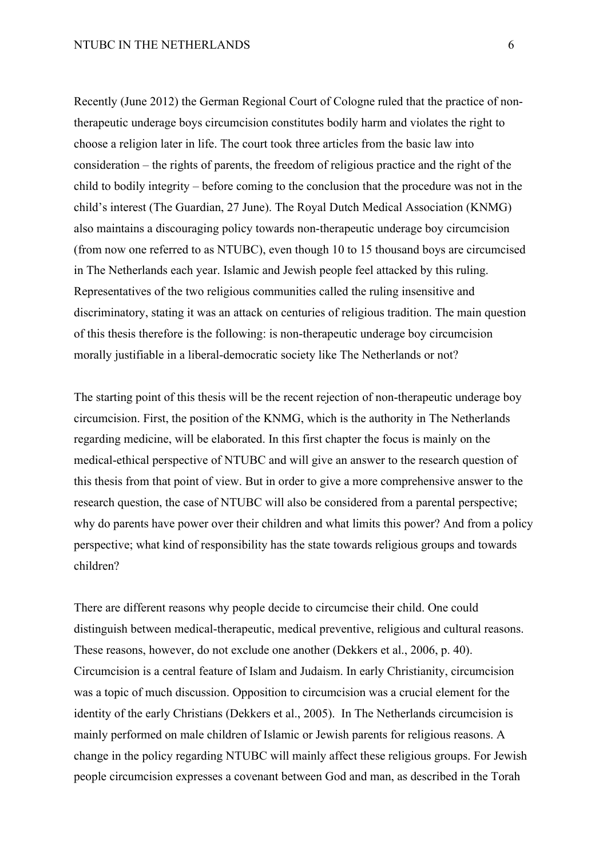Recently (June 2012) the German Regional Court of Cologne ruled that the practice of nontherapeutic underage boys circumcision constitutes bodily harm and violates the right to choose a religion later in life. The court took three articles from the basic law into consideration – the rights of parents, the freedom of religious practice and the right of the child to bodily integrity – before coming to the conclusion that the procedure was not in the child's interest (The Guardian, 27 June). The Royal Dutch Medical Association (KNMG) also maintains a discouraging policy towards non-therapeutic underage boy circumcision (from now one referred to as NTUBC), even though 10 to 15 thousand boys are circumcised in The Netherlands each year. Islamic and Jewish people feel attacked by this ruling. Representatives of the two religious communities called the ruling insensitive and discriminatory, stating it was an attack on centuries of religious tradition. The main question of this thesis therefore is the following: is non-therapeutic underage boy circumcision morally justifiable in a liberal-democratic society like The Netherlands or not?

The starting point of this thesis will be the recent rejection of non-therapeutic underage boy circumcision. First, the position of the KNMG, which is the authority in The Netherlands regarding medicine, will be elaborated. In this first chapter the focus is mainly on the medical-ethical perspective of NTUBC and will give an answer to the research question of this thesis from that point of view. But in order to give a more comprehensive answer to the research question, the case of NTUBC will also be considered from a parental perspective; why do parents have power over their children and what limits this power? And from a policy perspective; what kind of responsibility has the state towards religious groups and towards children?

There are different reasons why people decide to circumcise their child. One could distinguish between medical-therapeutic, medical preventive, religious and cultural reasons. These reasons, however, do not exclude one another (Dekkers et al., 2006, p. 40). Circumcision is a central feature of Islam and Judaism. In early Christianity, circumcision was a topic of much discussion. Opposition to circumcision was a crucial element for the identity of the early Christians (Dekkers et al., 2005). In The Netherlands circumcision is mainly performed on male children of Islamic or Jewish parents for religious reasons. A change in the policy regarding NTUBC will mainly affect these religious groups. For Jewish people circumcision expresses a covenant between God and man, as described in the Torah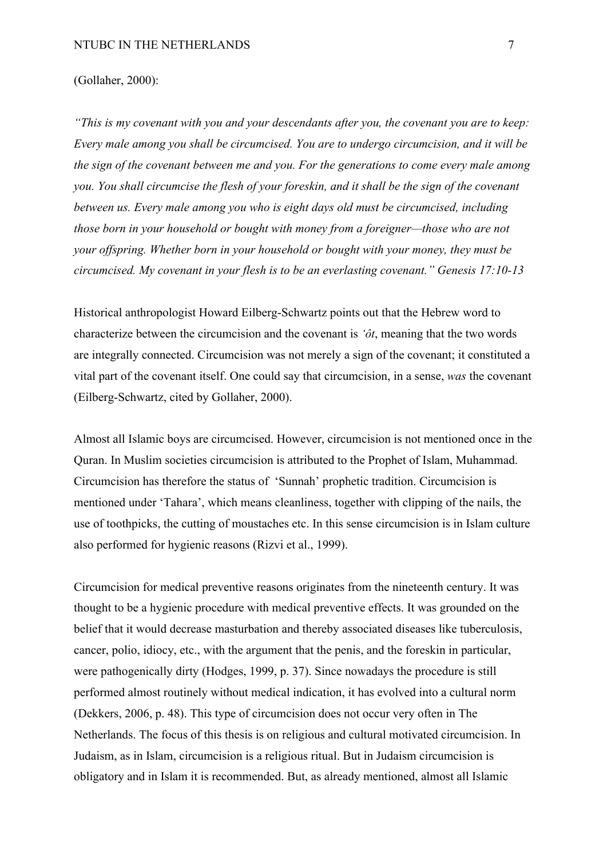#### (Gollaher, 2000):

*"This is my covenant with you and your descendants after you, the covenant you are to keep: Every male among you shall be circumcised. You are to undergo circumcision, and it will be the sign of the covenant between me and you. For the generations to come every male among you. You shall circumcise the flesh of your foreskin, and it shall be the sign of the covenant between us. Every male among you who is eight days old must be circumcised, including those born in your household or bought with money from a foreigner—those who are not your offspring. Whether born in your household or bought with your money, they must be circumcised. My covenant in your flesh is to be an everlasting covenant." Genesis 17:10-13*

Historical anthropologist Howard Eilberg-Schwartz points out that the Hebrew word to characterize between the circumcision and the covenant is *'ôt*, meaning that the two words are integrally connected. Circumcision was not merely a sign of the covenant; it constituted a vital part of the covenant itself. One could say that circumcision, in a sense, *was* the covenant (Eilberg-Schwartz, cited by Gollaher, 2000).

Almost all Islamic boys are circumcised. However, circumcision is not mentioned once in the Quran. In Muslim societies circumcision is attributed to the Prophet of Islam, Muhammad. Circumcision has therefore the status of 'Sunnah' prophetic tradition. Circumcision is mentioned under 'Tahara', which means cleanliness, together with clipping of the nails, the use of toothpicks, the cutting of moustaches etc. In this sense circumcision is in Islam culture also performed for hygienic reasons (Rizvi et al., 1999).

Circumcision for medical preventive reasons originates from the nineteenth century. It was thought to be a hygienic procedure with medical preventive effects. It was grounded on the belief that it would decrease masturbation and thereby associated diseases like tuberculosis, cancer, polio, idiocy, etc., with the argument that the penis, and the foreskin in particular, were pathogenically dirty (Hodges, 1999, p. 37). Since nowadays the procedure is still performed almost routinely without medical indication, it has evolved into a cultural norm (Dekkers, 2006, p. 48). This type of circumcision does not occur very often in The Netherlands. The focus of this thesis is on religious and cultural motivated circumcision. In Judaism, as in Islam, circumcision is a religious ritual. But in Judaism circumcision is obligatory and in Islam it is recommended. But, as already mentioned, almost all Islamic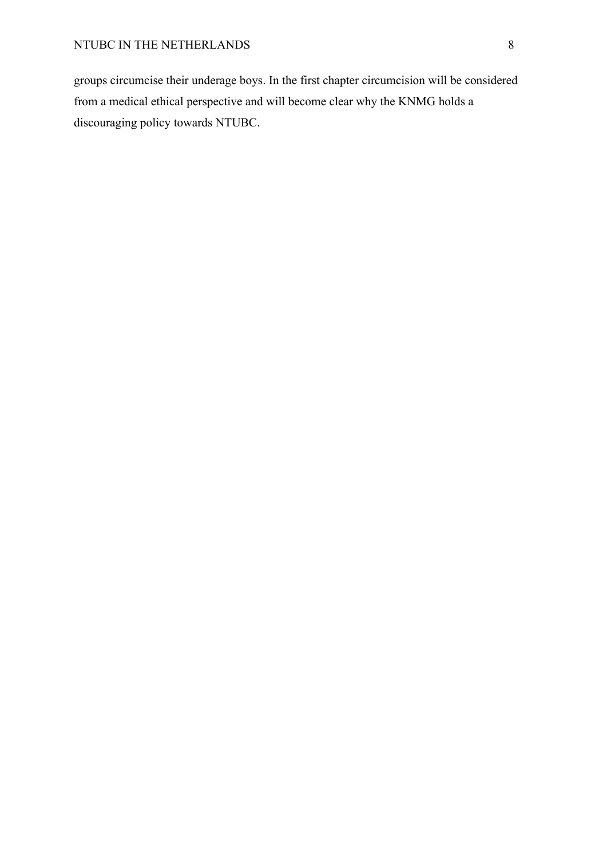groups circumcise their underage boys. In the first chapter circumcision will be considered from a medical ethical perspective and will become clear why the KNMG holds a discouraging policy towards NTUBC.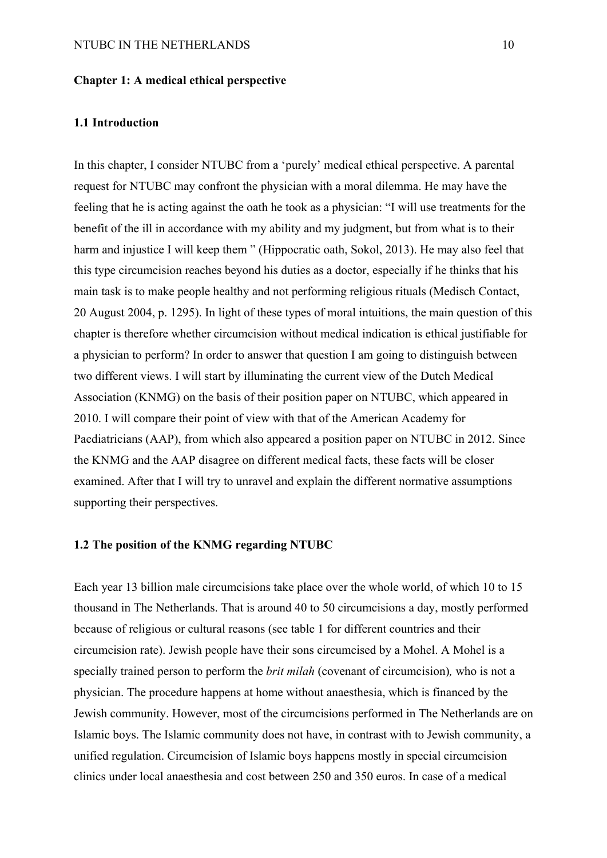#### **Chapter 1: A medical ethical perspective**

### **1.1 Introduction**

In this chapter, I consider NTUBC from a 'purely' medical ethical perspective. A parental request for NTUBC may confront the physician with a moral dilemma. He may have the feeling that he is acting against the oath he took as a physician: "I will use treatments for the benefit of the ill in accordance with my ability and my judgment, but from what is to their harm and injustice I will keep them " (Hippocratic oath, Sokol, 2013). He may also feel that this type circumcision reaches beyond his duties as a doctor, especially if he thinks that his main task is to make people healthy and not performing religious rituals (Medisch Contact, 20 August 2004, p. 1295). In light of these types of moral intuitions, the main question of this chapter is therefore whether circumcision without medical indication is ethical justifiable for a physician to perform? In order to answer that question I am going to distinguish between two different views. I will start by illuminating the current view of the Dutch Medical Association (KNMG) on the basis of their position paper on NTUBC, which appeared in 2010. I will compare their point of view with that of the American Academy for Paediatricians (AAP), from which also appeared a position paper on NTUBC in 2012. Since the KNMG and the AAP disagree on different medical facts, these facts will be closer examined. After that I will try to unravel and explain the different normative assumptions supporting their perspectives.

## **1.2 The position of the KNMG regarding NTUBC**

Each year 13 billion male circumcisions take place over the whole world, of which 10 to 15 thousand in The Netherlands. That is around 40 to 50 circumcisions a day, mostly performed because of religious or cultural reasons (see table 1 for different countries and their circumcision rate). Jewish people have their sons circumcised by a Mohel. A Mohel is a specially trained person to perform the *brit milah* (covenant of circumcision)*,* who is not a physician. The procedure happens at home without anaesthesia, which is financed by the Jewish community. However, most of the circumcisions performed in The Netherlands are on Islamic boys. The Islamic community does not have, in contrast with to Jewish community, a unified regulation. Circumcision of Islamic boys happens mostly in special circumcision clinics under local anaesthesia and cost between 250 and 350 euros. In case of a medical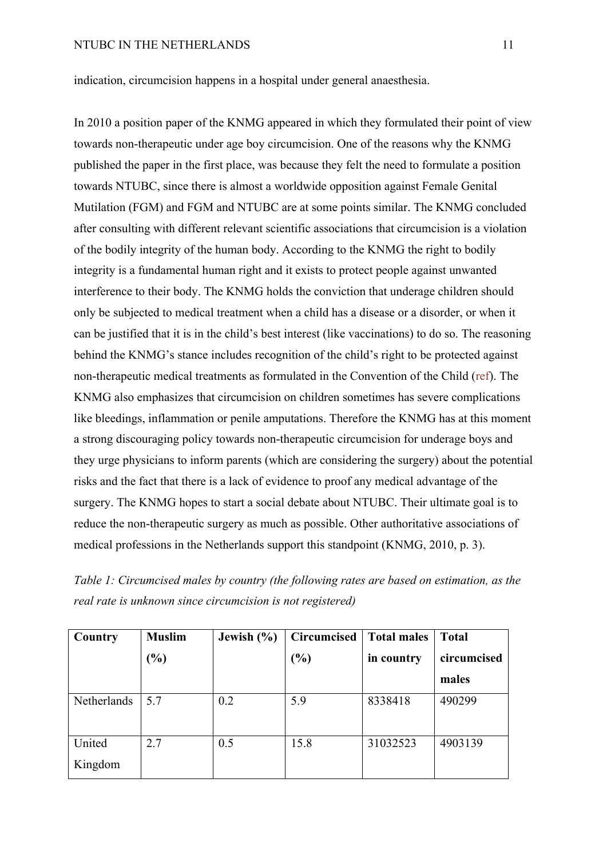indication, circumcision happens in a hospital under general anaesthesia.

In 2010 a position paper of the KNMG appeared in which they formulated their point of view towards non-therapeutic under age boy circumcision. One of the reasons why the KNMG published the paper in the first place, was because they felt the need to formulate a position towards NTUBC, since there is almost a worldwide opposition against Female Genital Mutilation (FGM) and FGM and NTUBC are at some points similar. The KNMG concluded after consulting with different relevant scientific associations that circumcision is a violation of the bodily integrity of the human body. According to the KNMG the right to bodily integrity is a fundamental human right and it exists to protect people against unwanted interference to their body. The KNMG holds the conviction that underage children should only be subjected to medical treatment when a child has a disease or a disorder, or when it can be justified that it is in the child's best interest (like vaccinations) to do so. The reasoning behind the KNMG's stance includes recognition of the child's right to be protected against non-therapeutic medical treatments as formulated in the Convention of the Child (ref). The KNMG also emphasizes that circumcision on children sometimes has severe complications like bleedings, inflammation or penile amputations. Therefore the KNMG has at this moment a strong discouraging policy towards non-therapeutic circumcision for underage boys and they urge physicians to inform parents (which are considering the surgery) about the potential risks and the fact that there is a lack of evidence to proof any medical advantage of the surgery. The KNMG hopes to start a social debate about NTUBC. Their ultimate goal is to reduce the non-therapeutic surgery as much as possible. Other authoritative associations of medical professions in the Netherlands support this standpoint (KNMG, 2010, p. 3).

| Table 1: Circumcised males by country (the following rates are based on estimation, as the |  |  |
|--------------------------------------------------------------------------------------------|--|--|
| real rate is unknown since circumcision is not registered)                                 |  |  |

| Country     | <b>Muslim</b> | Jewish $(\% )$ | <b>Circumcised</b> | <b>Total males</b> | <b>Total</b> |
|-------------|---------------|----------------|--------------------|--------------------|--------------|
|             | $(\%)$        |                | (%)                | in country         | circumcised  |
|             |               |                |                    |                    | males        |
| Netherlands | 5.7           | 0.2            | 5.9                | 8338418            | 490299       |
| United      | 2.7           | 0.5            | 15.8               | 31032523           | 4903139      |
| Kingdom     |               |                |                    |                    |              |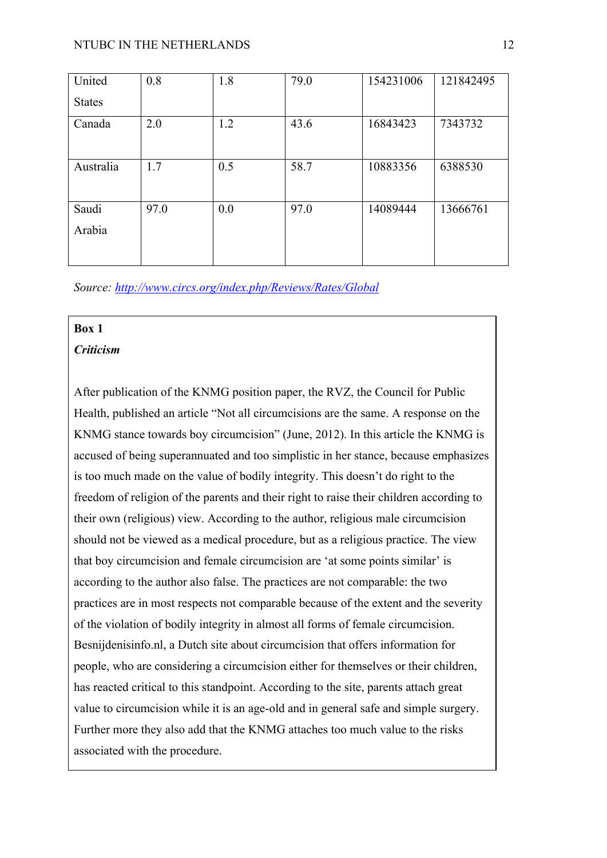| United          | 0.8  | 1.8 | 79.0 | 154231006 | 121842495 |
|-----------------|------|-----|------|-----------|-----------|
| <b>States</b>   |      |     |      |           |           |
| Canada          | 2.0  | 1.2 | 43.6 | 16843423  | 7343732   |
| Australia       | 1.7  | 0.5 | 58.7 | 10883356  | 6388530   |
| Saudi<br>Arabia | 97.0 | 0.0 | 97.0 | 14089444  | 13666761  |

*Source: http://www.circs.org/index.php/Reviews/Rates/Global*

# **Box 1**

# *Criticism*

After publication of the KNMG position paper, the RVZ, the Council for Public Health, published an article "Not all circumcisions are the same. A response on the KNMG stance towards boy circumcision" (June, 2012). In this article the KNMG is accused of being superannuated and too simplistic in her stance, because emphasizes is too much made on the value of bodily integrity. This doesn't do right to the freedom of religion of the parents and their right to raise their children according to their own (religious) view. According to the author, religious male circumcision should not be viewed as a medical procedure, but as a religious practice. The view that boy circumcision and female circumcision are 'at some points similar' is according to the author also false. The practices are not comparable: the two practices are in most respects not comparable because of the extent and the severity of the violation of bodily integrity in almost all forms of female circumcision. Besnijdenisinfo.nl, a Dutch site about circumcision that offers information for people, who are considering a circumcision either for themselves or their children, has reacted critical to this standpoint. According to the site, parents attach great value to circumcision while it is an age-old and in general safe and simple surgery. Further more they also add that the KNMG attaches too much value to the risks associated with the procedure.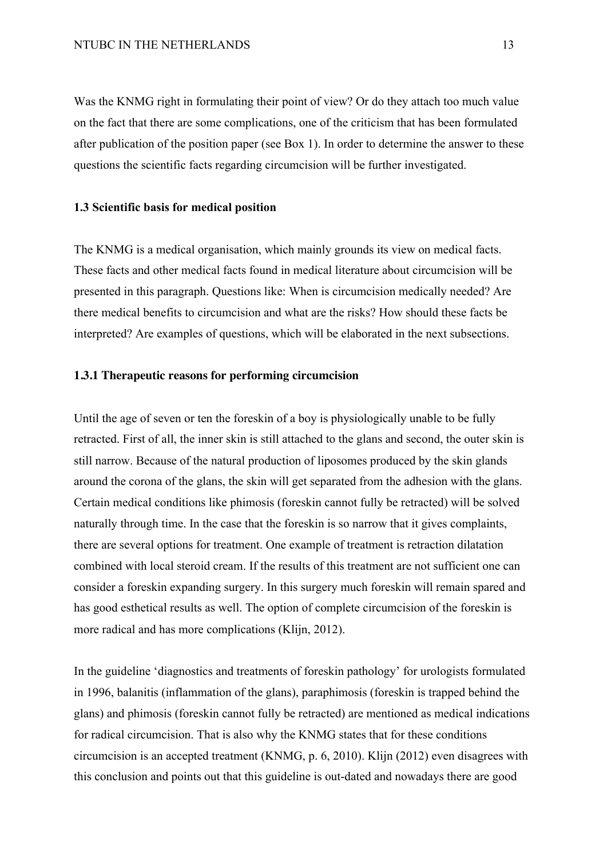Was the KNMG right in formulating their point of view? Or do they attach too much value on the fact that there are some complications, one of the criticism that has been formulated after publication of the position paper (see Box 1). In order to determine the answer to these questions the scientific facts regarding circumcision will be further investigated.

## **1.3 Scientific basis for medical position**

The KNMG is a medical organisation, which mainly grounds its view on medical facts. These facts and other medical facts found in medical literature about circumcision will be presented in this paragraph. Questions like: When is circumcision medically needed? Are there medical benefits to circumcision and what are the risks? How should these facts be interpreted? Are examples of questions, which will be elaborated in the next subsections.

## **1.3.1 Therapeutic reasons for performing circumcision**

Until the age of seven or ten the foreskin of a boy is physiologically unable to be fully retracted. First of all, the inner skin is still attached to the glans and second, the outer skin is still narrow. Because of the natural production of liposomes produced by the skin glands around the corona of the glans, the skin will get separated from the adhesion with the glans. Certain medical conditions like phimosis (foreskin cannot fully be retracted) will be solved naturally through time. In the case that the foreskin is so narrow that it gives complaints, there are several options for treatment. One example of treatment is retraction dilatation combined with local steroid cream. If the results of this treatment are not sufficient one can consider a foreskin expanding surgery. In this surgery much foreskin will remain spared and has good esthetical results as well. The option of complete circumcision of the foreskin is more radical and has more complications (Klijn, 2012).

In the guideline 'diagnostics and treatments of foreskin pathology' for urologists formulated in 1996, balanitis (inflammation of the glans), paraphimosis (foreskin is trapped behind the glans) and phimosis (foreskin cannot fully be retracted) are mentioned as medical indications for radical circumcision. That is also why the KNMG states that for these conditions circumcision is an accepted treatment (KNMG, p. 6, 2010). Klijn (2012) even disagrees with this conclusion and points out that this guideline is out-dated and nowadays there are good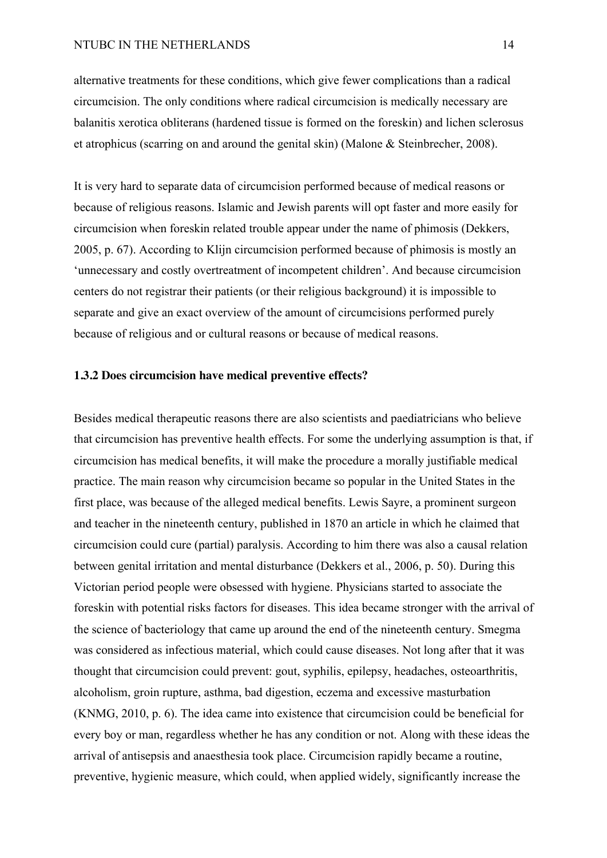alternative treatments for these conditions, which give fewer complications than a radical circumcision. The only conditions where radical circumcision is medically necessary are balanitis xerotica obliterans (hardened tissue is formed on the foreskin) and lichen sclerosus et atrophicus (scarring on and around the genital skin) (Malone & Steinbrecher, 2008).

It is very hard to separate data of circumcision performed because of medical reasons or because of religious reasons. Islamic and Jewish parents will opt faster and more easily for circumcision when foreskin related trouble appear under the name of phimosis (Dekkers, 2005, p. 67). According to Klijn circumcision performed because of phimosis is mostly an 'unnecessary and costly overtreatment of incompetent children'. And because circumcision centers do not registrar their patients (or their religious background) it is impossible to separate and give an exact overview of the amount of circumcisions performed purely because of religious and or cultural reasons or because of medical reasons.

## **1.3.2 Does circumcision have medical preventive effects?**

Besides medical therapeutic reasons there are also scientists and paediatricians who believe that circumcision has preventive health effects. For some the underlying assumption is that, if circumcision has medical benefits, it will make the procedure a morally justifiable medical practice. The main reason why circumcision became so popular in the United States in the first place, was because of the alleged medical benefits. Lewis Sayre, a prominent surgeon and teacher in the nineteenth century, published in 1870 an article in which he claimed that circumcision could cure (partial) paralysis. According to him there was also a causal relation between genital irritation and mental disturbance (Dekkers et al., 2006, p. 50). During this Victorian period people were obsessed with hygiene. Physicians started to associate the foreskin with potential risks factors for diseases. This idea became stronger with the arrival of the science of bacteriology that came up around the end of the nineteenth century. Smegma was considered as infectious material, which could cause diseases. Not long after that it was thought that circumcision could prevent: gout, syphilis, epilepsy, headaches, osteoarthritis, alcoholism, groin rupture, asthma, bad digestion, eczema and excessive masturbation (KNMG, 2010, p. 6). The idea came into existence that circumcision could be beneficial for every boy or man, regardless whether he has any condition or not. Along with these ideas the arrival of antisepsis and anaesthesia took place. Circumcision rapidly became a routine, preventive, hygienic measure, which could, when applied widely, significantly increase the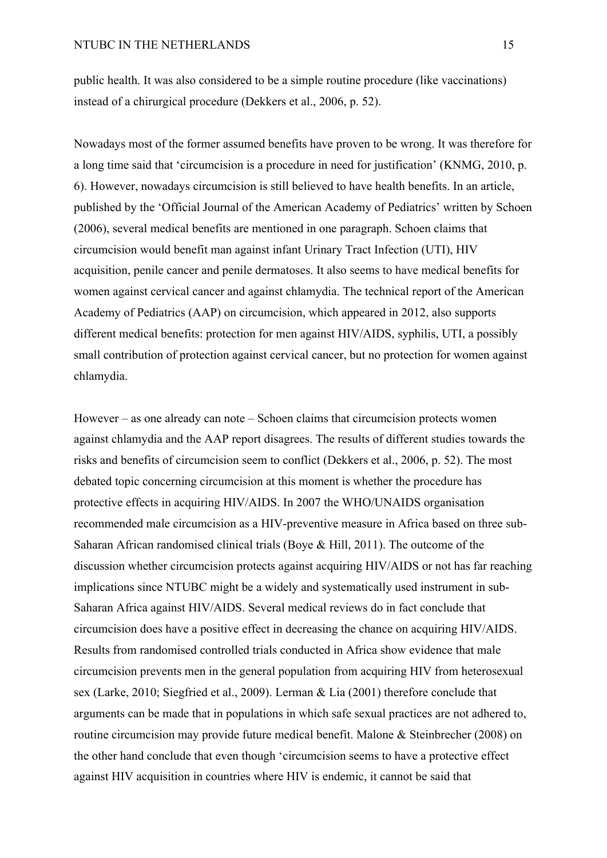public health. It was also considered to be a simple routine procedure (like vaccinations) instead of a chirurgical procedure (Dekkers et al., 2006, p. 52).

Nowadays most of the former assumed benefits have proven to be wrong. It was therefore for a long time said that 'circumcision is a procedure in need for justification' (KNMG, 2010, p. 6). However, nowadays circumcision is still believed to have health benefits. In an article, published by the 'Official Journal of the American Academy of Pediatrics' written by Schoen (2006), several medical benefits are mentioned in one paragraph. Schoen claims that circumcision would benefit man against infant Urinary Tract Infection (UTI), HIV acquisition, penile cancer and penile dermatoses. It also seems to have medical benefits for women against cervical cancer and against chlamydia. The technical report of the American Academy of Pediatrics (AAP) on circumcision, which appeared in 2012, also supports different medical benefits: protection for men against HIV/AIDS, syphilis, UTI, a possibly small contribution of protection against cervical cancer, but no protection for women against chlamydia.

However – as one already can note – Schoen claims that circumcision protects women against chlamydia and the AAP report disagrees. The results of different studies towards the risks and benefits of circumcision seem to conflict (Dekkers et al., 2006, p. 52). The most debated topic concerning circumcision at this moment is whether the procedure has protective effects in acquiring HIV/AIDS. In 2007 the WHO/UNAIDS organisation recommended male circumcision as a HIV-preventive measure in Africa based on three sub-Saharan African randomised clinical trials (Boye & Hill, 2011). The outcome of the discussion whether circumcision protects against acquiring HIV/AIDS or not has far reaching implications since NTUBC might be a widely and systematically used instrument in sub-Saharan Africa against HIV/AIDS. Several medical reviews do in fact conclude that circumcision does have a positive effect in decreasing the chance on acquiring HIV/AIDS. Results from randomised controlled trials conducted in Africa show evidence that male circumcision prevents men in the general population from acquiring HIV from heterosexual sex (Larke, 2010; Siegfried et al., 2009). Lerman & Lia (2001) therefore conclude that arguments can be made that in populations in which safe sexual practices are not adhered to, routine circumcision may provide future medical benefit. Malone & Steinbrecher (2008) on the other hand conclude that even though 'circumcision seems to have a protective effect against HIV acquisition in countries where HIV is endemic, it cannot be said that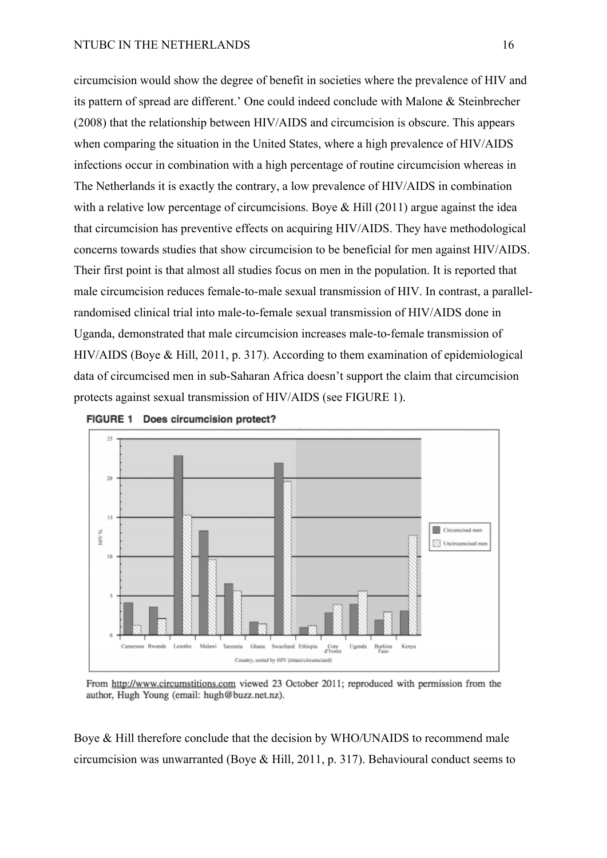Cameroon Rv

Lesotho

Malawi

Tanzania

Ghana

circumcision would show the degree of benefit in societies where the prevalence of HIV and its pattern of spread are different.' One could indeed conclude with Malone & Steinbrecher (2008) that the relationship between HIV/AIDS and circumcision is obscure. This appears when comparing the situation in the United States, where a high prevalence of HIV/AIDS infections occur in combination with a high percentage of routine circumcision whereas in The Netherlands it is exactly the contrary, a low prevalence of HIV/AIDS in combination with a relative low percentage of circumcisions. Boye & Hill (2011) argue against the idea that circumcision has preventive effects on acquiring HIV/AIDS. They have methodological concerns towards studies that show circumcision to be beneficial for men against HIV/AIDS. Their first point is that almost all studies focus on men in the population. It is reported that male circumcision reduces female-to-male sexual transmission of HIV. In contrast, a parallelrandomised clinical trial into male-to-female sexual transmission of HIV/AIDS done in Uganda, demonstrated that male circumcision increases male-to-female transmission of HIV/AIDS (Boye & Hill, 2011, p. 317). According to them examination of epidemiological data of circumcised men in sub-Saharan Africa doesn't support the claim that circumcision protects against sexual transmission of HIV/AIDS (see FIGURE 1).



From http://www.circumstitions.com viewed 23 October 2011; reproduced with permission from the author, Hugh Young (email: hugh@buzz.net.nz).

waziland Ethiopia

Country, sorted by HIV (intact/circumcised)

Uganda

Cote<br>d'Ivoir

**Burkina** 

Kenya

Boye & Hill therefore conclude that the decision by WHO/UNAIDS to recommend male circumcision was unwarranted (Boye & Hill, 2011, p. 317). Behavioural conduct seems to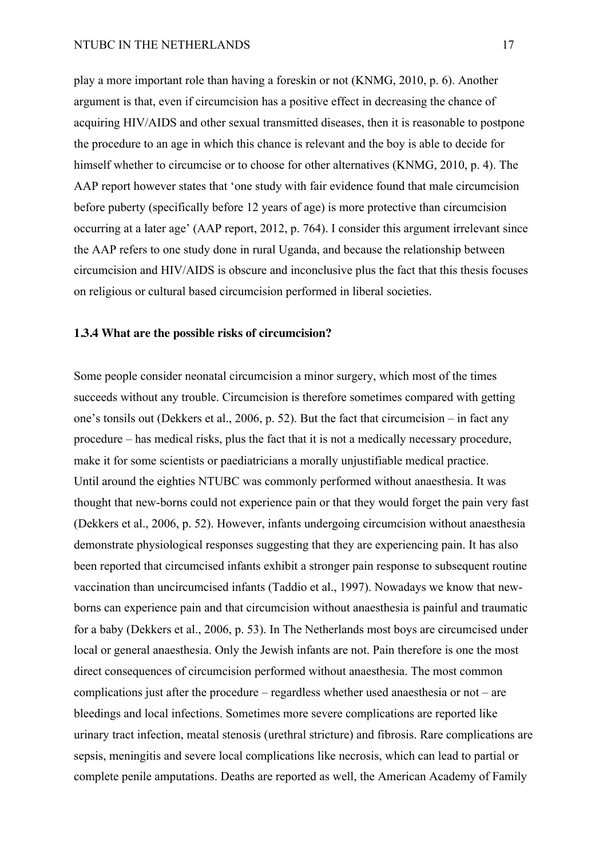play a more important role than having a foreskin or not (KNMG, 2010, p. 6). Another argument is that, even if circumcision has a positive effect in decreasing the chance of acquiring HIV/AIDS and other sexual transmitted diseases, then it is reasonable to postpone the procedure to an age in which this chance is relevant and the boy is able to decide for himself whether to circumcise or to choose for other alternatives (KNMG, 2010, p. 4). The AAP report however states that 'one study with fair evidence found that male circumcision before puberty (specifically before 12 years of age) is more protective than circumcision occurring at a later age' (AAP report, 2012, p. 764). I consider this argument irrelevant since the AAP refers to one study done in rural Uganda, and because the relationship between circumcision and HIV/AIDS is obscure and inconclusive plus the fact that this thesis focuses on religious or cultural based circumcision performed in liberal societies.

## **1.3.4 What are the possible risks of circumcision?**

Some people consider neonatal circumcision a minor surgery, which most of the times succeeds without any trouble. Circumcision is therefore sometimes compared with getting one's tonsils out (Dekkers et al., 2006, p. 52). But the fact that circumcision – in fact any procedure – has medical risks, plus the fact that it is not a medically necessary procedure, make it for some scientists or paediatricians a morally unjustifiable medical practice. Until around the eighties NTUBC was commonly performed without anaesthesia. It was thought that new-borns could not experience pain or that they would forget the pain very fast (Dekkers et al., 2006, p. 52). However, infants undergoing circumcision without anaesthesia demonstrate physiological responses suggesting that they are experiencing pain. It has also been reported that circumcised infants exhibit a stronger pain response to subsequent routine vaccination than uncircumcised infants (Taddio et al., 1997). Nowadays we know that newborns can experience pain and that circumcision without anaesthesia is painful and traumatic for a baby (Dekkers et al., 2006, p. 53). In The Netherlands most boys are circumcised under local or general anaesthesia. Only the Jewish infants are not. Pain therefore is one the most direct consequences of circumcision performed without anaesthesia. The most common complications just after the procedure – regardless whether used anaesthesia or not – are bleedings and local infections. Sometimes more severe complications are reported like urinary tract infection, meatal stenosis (urethral stricture) and fibrosis. Rare complications are sepsis, meningitis and severe local complications like necrosis, which can lead to partial or complete penile amputations. Deaths are reported as well, the American Academy of Family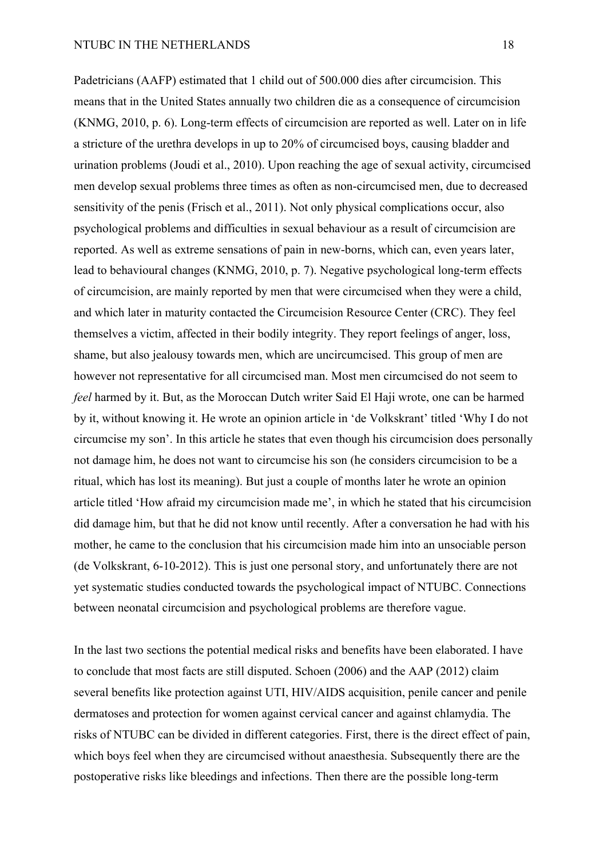Padetricians (AAFP) estimated that 1 child out of 500.000 dies after circumcision. This means that in the United States annually two children die as a consequence of circumcision (KNMG, 2010, p. 6). Long-term effects of circumcision are reported as well. Later on in life a stricture of the urethra develops in up to 20% of circumcised boys, causing bladder and urination problems (Joudi et al., 2010). Upon reaching the age of sexual activity, circumcised men develop sexual problems three times as often as non-circumcised men, due to decreased sensitivity of the penis (Frisch et al., 2011). Not only physical complications occur, also psychological problems and difficulties in sexual behaviour as a result of circumcision are reported. As well as extreme sensations of pain in new-borns, which can, even years later, lead to behavioural changes (KNMG, 2010, p. 7). Negative psychological long-term effects of circumcision, are mainly reported by men that were circumcised when they were a child, and which later in maturity contacted the Circumcision Resource Center (CRC). They feel themselves a victim, affected in their bodily integrity. They report feelings of anger, loss, shame, but also jealousy towards men, which are uncircumcised. This group of men are however not representative for all circumcised man. Most men circumcised do not seem to *feel* harmed by it. But, as the Moroccan Dutch writer Said El Haji wrote, one can be harmed by it, without knowing it. He wrote an opinion article in 'de Volkskrant' titled 'Why I do not circumcise my son'. In this article he states that even though his circumcision does personally not damage him, he does not want to circumcise his son (he considers circumcision to be a ritual, which has lost its meaning). But just a couple of months later he wrote an opinion article titled 'How afraid my circumcision made me', in which he stated that his circumcision did damage him, but that he did not know until recently. After a conversation he had with his mother, he came to the conclusion that his circumcision made him into an unsociable person (de Volkskrant, 6-10-2012). This is just one personal story, and unfortunately there are not yet systematic studies conducted towards the psychological impact of NTUBC. Connections between neonatal circumcision and psychological problems are therefore vague.

In the last two sections the potential medical risks and benefits have been elaborated. I have to conclude that most facts are still disputed. Schoen (2006) and the AAP (2012) claim several benefits like protection against UTI, HIV/AIDS acquisition, penile cancer and penile dermatoses and protection for women against cervical cancer and against chlamydia. The risks of NTUBC can be divided in different categories. First, there is the direct effect of pain, which boys feel when they are circumcised without anaesthesia. Subsequently there are the postoperative risks like bleedings and infections. Then there are the possible long-term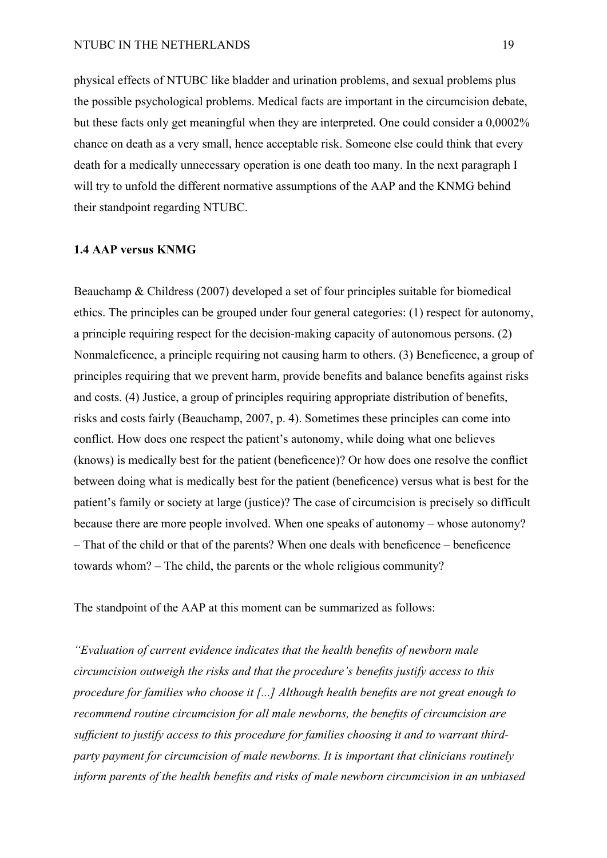physical effects of NTUBC like bladder and urination problems, and sexual problems plus the possible psychological problems. Medical facts are important in the circumcision debate, but these facts only get meaningful when they are interpreted. One could consider a 0,0002% chance on death as a very small, hence acceptable risk. Someone else could think that every death for a medically unnecessary operation is one death too many. In the next paragraph I will try to unfold the different normative assumptions of the AAP and the KNMG behind their standpoint regarding NTUBC.

### **1.4 AAP versus KNMG**

Beauchamp & Childress (2007) developed a set of four principles suitable for biomedical ethics. The principles can be grouped under four general categories: (1) respect for autonomy, a principle requiring respect for the decision-making capacity of autonomous persons. (2) Nonmaleficence, a principle requiring not causing harm to others. (3) Beneficence, a group of principles requiring that we prevent harm, provide benefits and balance benefits against risks and costs. (4) Justice, a group of principles requiring appropriate distribution of benefits, risks and costs fairly (Beauchamp, 2007, p. 4). Sometimes these principles can come into conflict. How does one respect the patient's autonomy, while doing what one believes (knows) is medically best for the patient (beneficence)? Or how does one resolve the conflict between doing what is medically best for the patient (beneficence) versus what is best for the patient's family or society at large (justice)? The case of circumcision is precisely so difficult because there are more people involved. When one speaks of autonomy – whose autonomy? – That of the child or that of the parents? When one deals with beneficence – beneficence towards whom? – The child, the parents or the whole religious community?

The standpoint of the AAP at this moment can be summarized as follows:

*"Evaluation of current evidence indicates that the health benefits of newborn male circumcision outweigh the risks and that the procedure's benefits justify access to this procedure for families who choose it [...] Although health benefits are not great enough to recommend routine circumcision for all male newborns, the benefits of circumcision are sufficient to justify access to this procedure for families choosing it and to warrant thirdparty payment for circumcision of male newborns. It is important that clinicians routinely inform parents of the health benefits and risks of male newborn circumcision in an unbiased*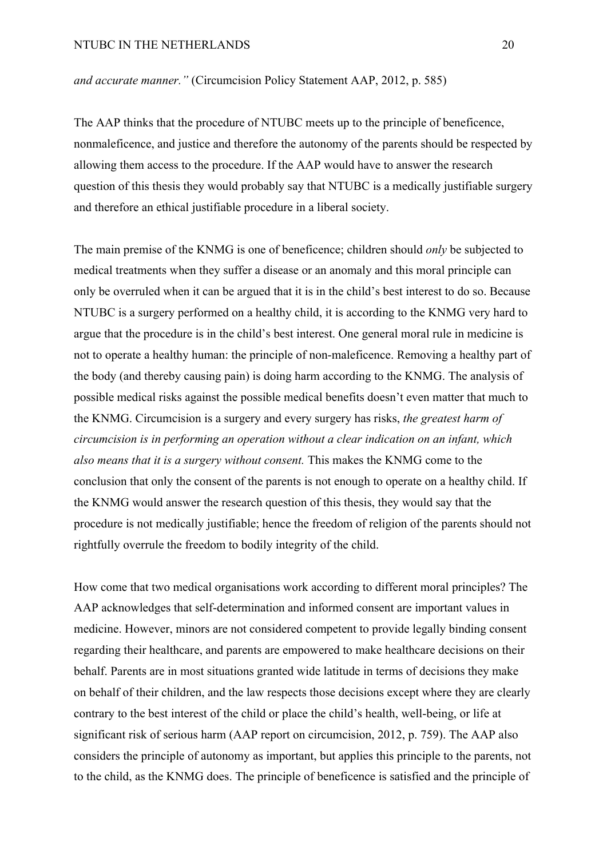*and accurate manner."* (Circumcision Policy Statement AAP, 2012, p. 585)

The AAP thinks that the procedure of NTUBC meets up to the principle of beneficence, nonmaleficence, and justice and therefore the autonomy of the parents should be respected by allowing them access to the procedure. If the AAP would have to answer the research question of this thesis they would probably say that NTUBC is a medically justifiable surgery and therefore an ethical justifiable procedure in a liberal society.

The main premise of the KNMG is one of beneficence; children should *only* be subjected to medical treatments when they suffer a disease or an anomaly and this moral principle can only be overruled when it can be argued that it is in the child's best interest to do so. Because NTUBC is a surgery performed on a healthy child, it is according to the KNMG very hard to argue that the procedure is in the child's best interest. One general moral rule in medicine is not to operate a healthy human: the principle of non-maleficence. Removing a healthy part of the body (and thereby causing pain) is doing harm according to the KNMG. The analysis of possible medical risks against the possible medical benefits doesn't even matter that much to the KNMG. Circumcision is a surgery and every surgery has risks, *the greatest harm of circumcision is in performing an operation without a clear indication on an infant, which also means that it is a surgery without consent.* This makes the KNMG come to the conclusion that only the consent of the parents is not enough to operate on a healthy child. If the KNMG would answer the research question of this thesis, they would say that the procedure is not medically justifiable; hence the freedom of religion of the parents should not rightfully overrule the freedom to bodily integrity of the child.

How come that two medical organisations work according to different moral principles? The AAP acknowledges that self-determination and informed consent are important values in medicine. However, minors are not considered competent to provide legally binding consent regarding their healthcare, and parents are empowered to make healthcare decisions on their behalf. Parents are in most situations granted wide latitude in terms of decisions they make on behalf of their children, and the law respects those decisions except where they are clearly contrary to the best interest of the child or place the child's health, well-being, or life at significant risk of serious harm (AAP report on circumcision, 2012, p. 759). The AAP also considers the principle of autonomy as important, but applies this principle to the parents, not to the child, as the KNMG does. The principle of beneficence is satisfied and the principle of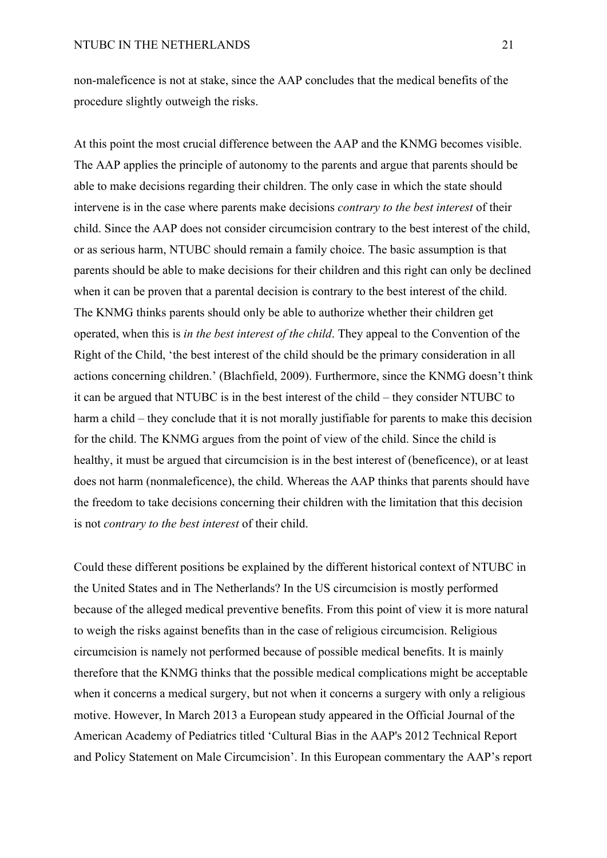non-maleficence is not at stake, since the AAP concludes that the medical benefits of the procedure slightly outweigh the risks.

At this point the most crucial difference between the AAP and the KNMG becomes visible. The AAP applies the principle of autonomy to the parents and argue that parents should be able to make decisions regarding their children. The only case in which the state should intervene is in the case where parents make decisions *contrary to the best interest* of their child. Since the AAP does not consider circumcision contrary to the best interest of the child, or as serious harm, NTUBC should remain a family choice. The basic assumption is that parents should be able to make decisions for their children and this right can only be declined when it can be proven that a parental decision is contrary to the best interest of the child. The KNMG thinks parents should only be able to authorize whether their children get operated, when this is *in the best interest of the child*. They appeal to the Convention of the Right of the Child, 'the best interest of the child should be the primary consideration in all actions concerning children.' (Blachfield, 2009). Furthermore, since the KNMG doesn't think it can be argued that NTUBC is in the best interest of the child – they consider NTUBC to harm a child – they conclude that it is not morally justifiable for parents to make this decision for the child. The KNMG argues from the point of view of the child. Since the child is healthy, it must be argued that circumcision is in the best interest of (beneficence), or at least does not harm (nonmaleficence), the child. Whereas the AAP thinks that parents should have the freedom to take decisions concerning their children with the limitation that this decision is not *contrary to the best interest* of their child.

Could these different positions be explained by the different historical context of NTUBC in the United States and in The Netherlands? In the US circumcision is mostly performed because of the alleged medical preventive benefits. From this point of view it is more natural to weigh the risks against benefits than in the case of religious circumcision. Religious circumcision is namely not performed because of possible medical benefits. It is mainly therefore that the KNMG thinks that the possible medical complications might be acceptable when it concerns a medical surgery, but not when it concerns a surgery with only a religious motive. However, In March 2013 a European study appeared in the Official Journal of the American Academy of Pediatrics titled 'Cultural Bias in the AAP's 2012 Technical Report and Policy Statement on Male Circumcision'. In this European commentary the AAP's report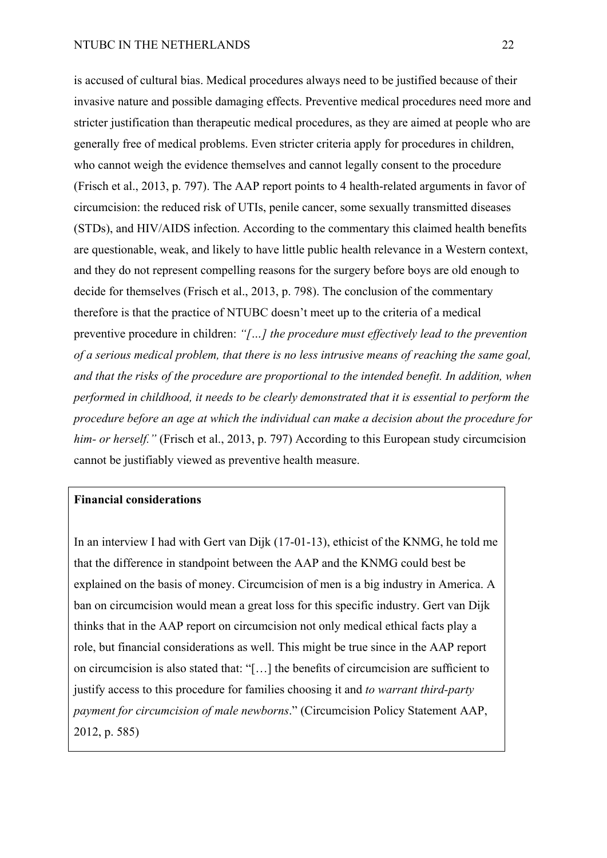is accused of cultural bias. Medical procedures always need to be justified because of their invasive nature and possible damaging effects. Preventive medical procedures need more and stricter justification than therapeutic medical procedures, as they are aimed at people who are generally free of medical problems. Even stricter criteria apply for procedures in children, who cannot weigh the evidence themselves and cannot legally consent to the procedure (Frisch et al., 2013, p. 797). The AAP report points to 4 health-related arguments in favor of circumcision: the reduced risk of UTIs, penile cancer, some sexually transmitted diseases (STDs), and HIV/AIDS infection. According to the commentary this claimed health benefits are questionable, weak, and likely to have little public health relevance in a Western context, and they do not represent compelling reasons for the surgery before boys are old enough to decide for themselves (Frisch et al., 2013, p. 798). The conclusion of the commentary therefore is that the practice of NTUBC doesn't meet up to the criteria of a medical preventive procedure in children: *"[…] the procedure must effectively lead to the prevention of a serious medical problem, that there is no less intrusive means of reaching the same goal, and that the risks of the procedure are proportional to the intended benefit. In addition, when performed in childhood, it needs to be clearly demonstrated that it is essential to perform the procedure before an age at which the individual can make a decision about the procedure for him- or herself."* (Frisch et al., 2013, p. 797) According to this European study circumcision cannot be justifiably viewed as preventive health measure.

# **Financial considerations**

In an interview I had with Gert van Dijk (17-01-13), ethicist of the KNMG, he told me that the difference in standpoint between the AAP and the KNMG could best be explained on the basis of money. Circumcision of men is a big industry in America. A ban on circumcision would mean a great loss for this specific industry. Gert van Dijk thinks that in the AAP report on circumcision not only medical ethical facts play a role, but financial considerations as well. This might be true since in the AAP report on circumcision is also stated that: "[…] the benefits of circumcision are sufficient to justify access to this procedure for families choosing it and *to warrant third-party payment for circumcision of male newborns*." (Circumcision Policy Statement AAP, 2012, p. 585)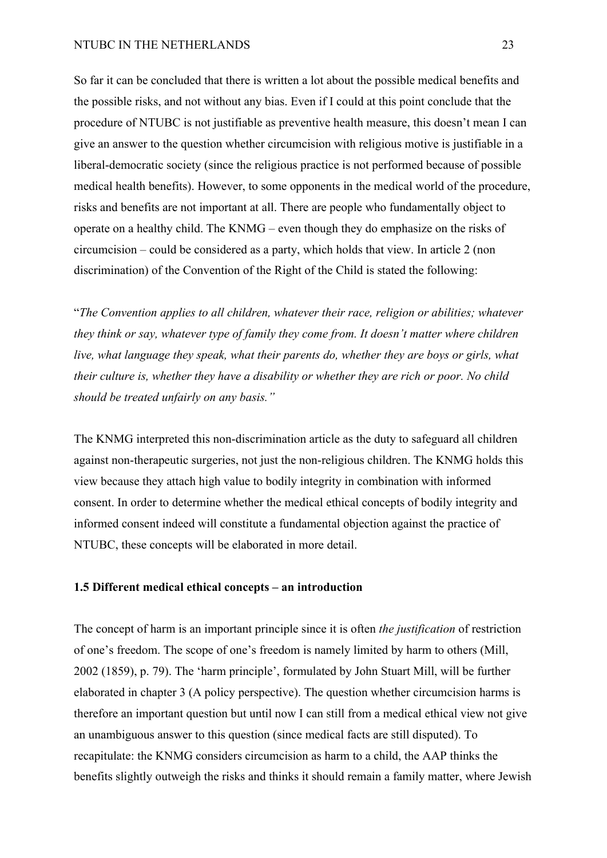## NTUBC IN THE NETHERLANDS 23

So far it can be concluded that there is written a lot about the possible medical benefits and the possible risks, and not without any bias. Even if I could at this point conclude that the procedure of NTUBC is not justifiable as preventive health measure, this doesn't mean I can give an answer to the question whether circumcision with religious motive is justifiable in a liberal-democratic society (since the religious practice is not performed because of possible medical health benefits). However, to some opponents in the medical world of the procedure, risks and benefits are not important at all. There are people who fundamentally object to operate on a healthy child. The KNMG – even though they do emphasize on the risks of circumcision – could be considered as a party, which holds that view. In article 2 (non discrimination) of the Convention of the Right of the Child is stated the following:

"*The Convention applies to all children, whatever their race, religion or abilities; whatever they think or say, whatever type of family they come from. It doesn't matter where children live, what language they speak, what their parents do, whether they are boys or girls, what their culture is, whether they have a disability or whether they are rich or poor. No child should be treated unfairly on any basis."*

The KNMG interpreted this non-discrimination article as the duty to safeguard all children against non-therapeutic surgeries, not just the non-religious children. The KNMG holds this view because they attach high value to bodily integrity in combination with informed consent. In order to determine whether the medical ethical concepts of bodily integrity and informed consent indeed will constitute a fundamental objection against the practice of NTUBC, these concepts will be elaborated in more detail.

# **1.5 Different medical ethical concepts – an introduction**

The concept of harm is an important principle since it is often *the justification* of restriction of one's freedom. The scope of one's freedom is namely limited by harm to others (Mill, 2002 (1859), p. 79). The 'harm principle', formulated by John Stuart Mill, will be further elaborated in chapter 3 (A policy perspective). The question whether circumcision harms is therefore an important question but until now I can still from a medical ethical view not give an unambiguous answer to this question (since medical facts are still disputed). To recapitulate: the KNMG considers circumcision as harm to a child, the AAP thinks the benefits slightly outweigh the risks and thinks it should remain a family matter, where Jewish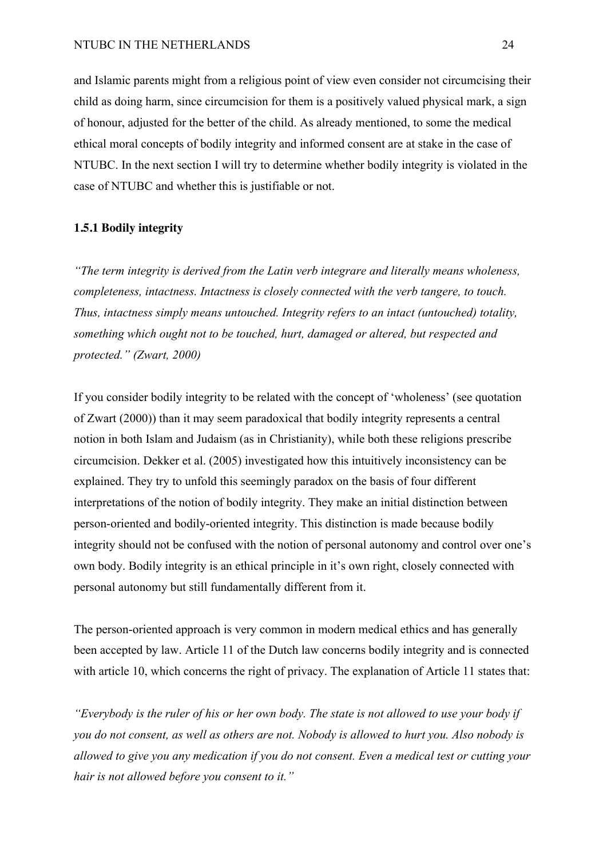and Islamic parents might from a religious point of view even consider not circumcising their child as doing harm, since circumcision for them is a positively valued physical mark, a sign of honour, adjusted for the better of the child. As already mentioned, to some the medical ethical moral concepts of bodily integrity and informed consent are at stake in the case of NTUBC. In the next section I will try to determine whether bodily integrity is violated in the case of NTUBC and whether this is justifiable or not.

### **1.5.1 Bodily integrity**

*"The term integrity is derived from the Latin verb integrare and literally means wholeness, completeness, intactness. Intactness is closely connected with the verb tangere, to touch. Thus, intactness simply means untouched. Integrity refers to an intact (untouched) totality, something which ought not to be touched, hurt, damaged or altered, but respected and protected." (Zwart, 2000)*

If you consider bodily integrity to be related with the concept of 'wholeness' (see quotation of Zwart (2000)) than it may seem paradoxical that bodily integrity represents a central notion in both Islam and Judaism (as in Christianity), while both these religions prescribe circumcision. Dekker et al. (2005) investigated how this intuitively inconsistency can be explained. They try to unfold this seemingly paradox on the basis of four different interpretations of the notion of bodily integrity. They make an initial distinction between person-oriented and bodily-oriented integrity. This distinction is made because bodily integrity should not be confused with the notion of personal autonomy and control over one's own body. Bodily integrity is an ethical principle in it's own right, closely connected with personal autonomy but still fundamentally different from it.

The person-oriented approach is very common in modern medical ethics and has generally been accepted by law. Article 11 of the Dutch law concerns bodily integrity and is connected with article 10, which concerns the right of privacy. The explanation of Article 11 states that:

*"Everybody is the ruler of his or her own body. The state is not allowed to use your body if you do not consent, as well as others are not. Nobody is allowed to hurt you. Also nobody is allowed to give you any medication if you do not consent. Even a medical test or cutting your hair is not allowed before you consent to it."*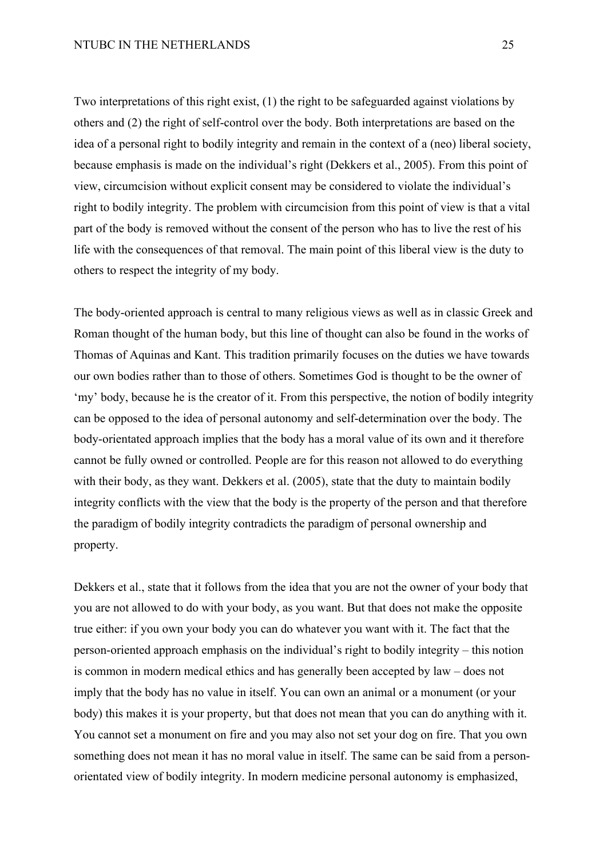Two interpretations of this right exist, (1) the right to be safeguarded against violations by others and (2) the right of self-control over the body. Both interpretations are based on the idea of a personal right to bodily integrity and remain in the context of a (neo) liberal society, because emphasis is made on the individual's right (Dekkers et al., 2005). From this point of view, circumcision without explicit consent may be considered to violate the individual's right to bodily integrity. The problem with circumcision from this point of view is that a vital part of the body is removed without the consent of the person who has to live the rest of his life with the consequences of that removal. The main point of this liberal view is the duty to others to respect the integrity of my body.

The body-oriented approach is central to many religious views as well as in classic Greek and Roman thought of the human body, but this line of thought can also be found in the works of Thomas of Aquinas and Kant. This tradition primarily focuses on the duties we have towards our own bodies rather than to those of others. Sometimes God is thought to be the owner of 'my' body, because he is the creator of it. From this perspective, the notion of bodily integrity can be opposed to the idea of personal autonomy and self-determination over the body. The body-orientated approach implies that the body has a moral value of its own and it therefore cannot be fully owned or controlled. People are for this reason not allowed to do everything with their body, as they want. Dekkers et al. (2005), state that the duty to maintain bodily integrity conflicts with the view that the body is the property of the person and that therefore the paradigm of bodily integrity contradicts the paradigm of personal ownership and property.

Dekkers et al., state that it follows from the idea that you are not the owner of your body that you are not allowed to do with your body, as you want. But that does not make the opposite true either: if you own your body you can do whatever you want with it. The fact that the person-oriented approach emphasis on the individual's right to bodily integrity – this notion is common in modern medical ethics and has generally been accepted by law – does not imply that the body has no value in itself. You can own an animal or a monument (or your body) this makes it is your property, but that does not mean that you can do anything with it. You cannot set a monument on fire and you may also not set your dog on fire. That you own something does not mean it has no moral value in itself. The same can be said from a personorientated view of bodily integrity. In modern medicine personal autonomy is emphasized,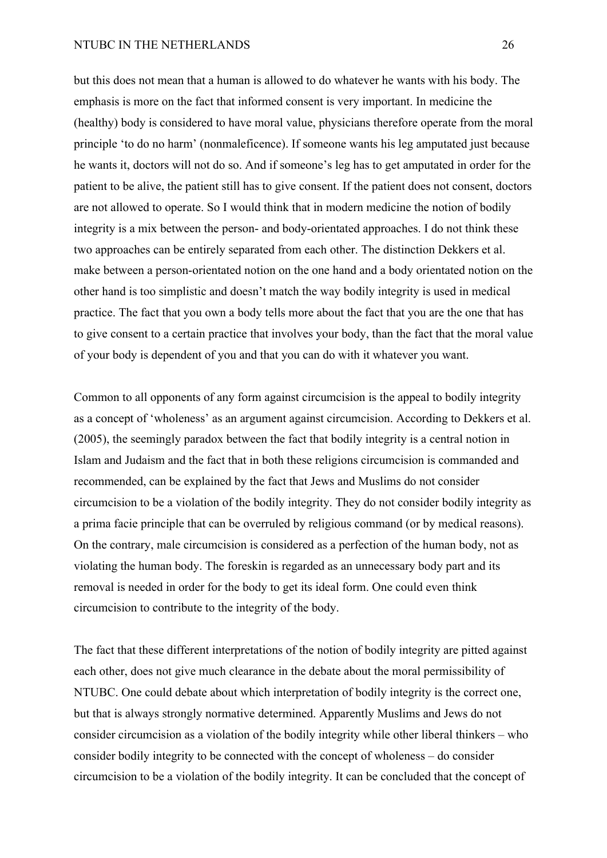## NTUBC IN THE NETHERLANDS 26

but this does not mean that a human is allowed to do whatever he wants with his body. The emphasis is more on the fact that informed consent is very important. In medicine the (healthy) body is considered to have moral value, physicians therefore operate from the moral principle 'to do no harm' (nonmaleficence). If someone wants his leg amputated just because he wants it, doctors will not do so. And if someone's leg has to get amputated in order for the patient to be alive, the patient still has to give consent. If the patient does not consent, doctors are not allowed to operate. So I would think that in modern medicine the notion of bodily integrity is a mix between the person- and body-orientated approaches. I do not think these two approaches can be entirely separated from each other. The distinction Dekkers et al. make between a person-orientated notion on the one hand and a body orientated notion on the other hand is too simplistic and doesn't match the way bodily integrity is used in medical practice. The fact that you own a body tells more about the fact that you are the one that has to give consent to a certain practice that involves your body, than the fact that the moral value of your body is dependent of you and that you can do with it whatever you want.

Common to all opponents of any form against circumcision is the appeal to bodily integrity as a concept of 'wholeness' as an argument against circumcision. According to Dekkers et al. (2005), the seemingly paradox between the fact that bodily integrity is a central notion in Islam and Judaism and the fact that in both these religions circumcision is commanded and recommended, can be explained by the fact that Jews and Muslims do not consider circumcision to be a violation of the bodily integrity. They do not consider bodily integrity as a prima facie principle that can be overruled by religious command (or by medical reasons). On the contrary, male circumcision is considered as a perfection of the human body, not as violating the human body. The foreskin is regarded as an unnecessary body part and its removal is needed in order for the body to get its ideal form. One could even think circumcision to contribute to the integrity of the body.

The fact that these different interpretations of the notion of bodily integrity are pitted against each other, does not give much clearance in the debate about the moral permissibility of NTUBC. One could debate about which interpretation of bodily integrity is the correct one, but that is always strongly normative determined. Apparently Muslims and Jews do not consider circumcision as a violation of the bodily integrity while other liberal thinkers – who consider bodily integrity to be connected with the concept of wholeness – do consider circumcision to be a violation of the bodily integrity. It can be concluded that the concept of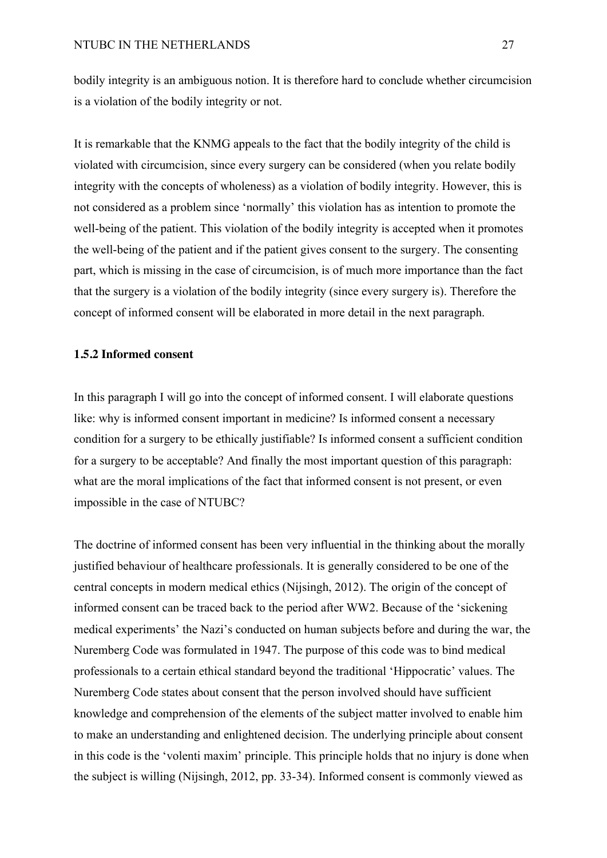bodily integrity is an ambiguous notion. It is therefore hard to conclude whether circumcision is a violation of the bodily integrity or not.

It is remarkable that the KNMG appeals to the fact that the bodily integrity of the child is violated with circumcision, since every surgery can be considered (when you relate bodily integrity with the concepts of wholeness) as a violation of bodily integrity. However, this is not considered as a problem since 'normally' this violation has as intention to promote the well-being of the patient. This violation of the bodily integrity is accepted when it promotes the well-being of the patient and if the patient gives consent to the surgery. The consenting part, which is missing in the case of circumcision, is of much more importance than the fact that the surgery is a violation of the bodily integrity (since every surgery is). Therefore the concept of informed consent will be elaborated in more detail in the next paragraph.

# **1.5.2 Informed consent**

In this paragraph I will go into the concept of informed consent. I will elaborate questions like: why is informed consent important in medicine? Is informed consent a necessary condition for a surgery to be ethically justifiable? Is informed consent a sufficient condition for a surgery to be acceptable? And finally the most important question of this paragraph: what are the moral implications of the fact that informed consent is not present, or even impossible in the case of NTUBC?

The doctrine of informed consent has been very influential in the thinking about the morally justified behaviour of healthcare professionals. It is generally considered to be one of the central concepts in modern medical ethics (Nijsingh, 2012). The origin of the concept of informed consent can be traced back to the period after WW2. Because of the 'sickening medical experiments' the Nazi's conducted on human subjects before and during the war, the Nuremberg Code was formulated in 1947. The purpose of this code was to bind medical professionals to a certain ethical standard beyond the traditional 'Hippocratic' values. The Nuremberg Code states about consent that the person involved should have sufficient knowledge and comprehension of the elements of the subject matter involved to enable him to make an understanding and enlightened decision. The underlying principle about consent in this code is the 'volenti maxim' principle. This principle holds that no injury is done when the subject is willing (Nijsingh, 2012, pp. 33-34). Informed consent is commonly viewed as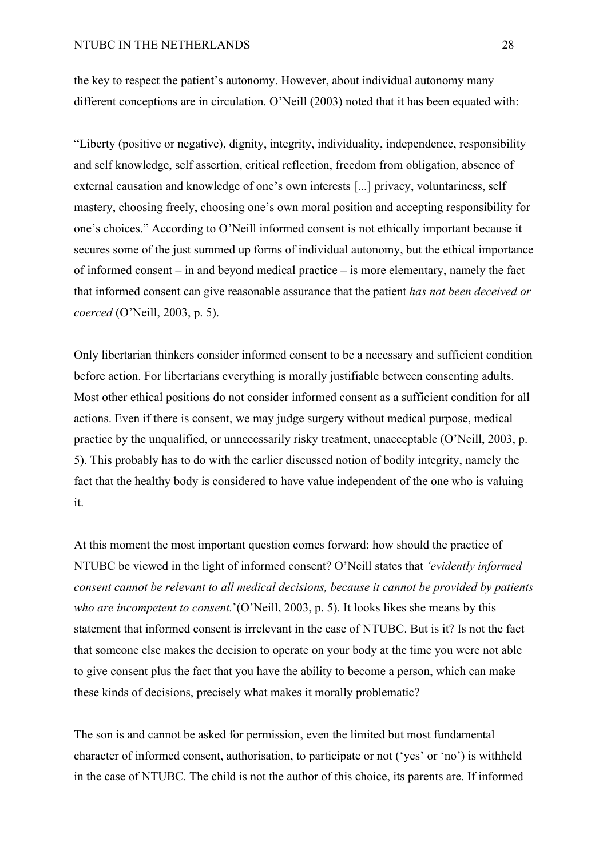the key to respect the patient's autonomy. However, about individual autonomy many different conceptions are in circulation. O'Neill (2003) noted that it has been equated with:

"Liberty (positive or negative), dignity, integrity, individuality, independence, responsibility and self knowledge, self assertion, critical reflection, freedom from obligation, absence of external causation and knowledge of one's own interests [...] privacy, voluntariness, self mastery, choosing freely, choosing one's own moral position and accepting responsibility for one's choices." According to O'Neill informed consent is not ethically important because it secures some of the just summed up forms of individual autonomy, but the ethical importance of informed consent – in and beyond medical practice – is more elementary, namely the fact that informed consent can give reasonable assurance that the patient *has not been deceived or coerced* (O'Neill, 2003, p. 5).

Only libertarian thinkers consider informed consent to be a necessary and sufficient condition before action. For libertarians everything is morally justifiable between consenting adults. Most other ethical positions do not consider informed consent as a sufficient condition for all actions. Even if there is consent, we may judge surgery without medical purpose, medical practice by the unqualified, or unnecessarily risky treatment, unacceptable (O'Neill, 2003, p. 5). This probably has to do with the earlier discussed notion of bodily integrity, namely the fact that the healthy body is considered to have value independent of the one who is valuing it.

At this moment the most important question comes forward: how should the practice of NTUBC be viewed in the light of informed consent? O'Neill states that *'evidently informed consent cannot be relevant to all medical decisions, because it cannot be provided by patients who are incompetent to consent.*'(O'Neill, 2003, p. 5). It looks likes she means by this statement that informed consent is irrelevant in the case of NTUBC. But is it? Is not the fact that someone else makes the decision to operate on your body at the time you were not able to give consent plus the fact that you have the ability to become a person, which can make these kinds of decisions, precisely what makes it morally problematic?

The son is and cannot be asked for permission, even the limited but most fundamental character of informed consent, authorisation, to participate or not ('yes' or 'no') is withheld in the case of NTUBC. The child is not the author of this choice, its parents are. If informed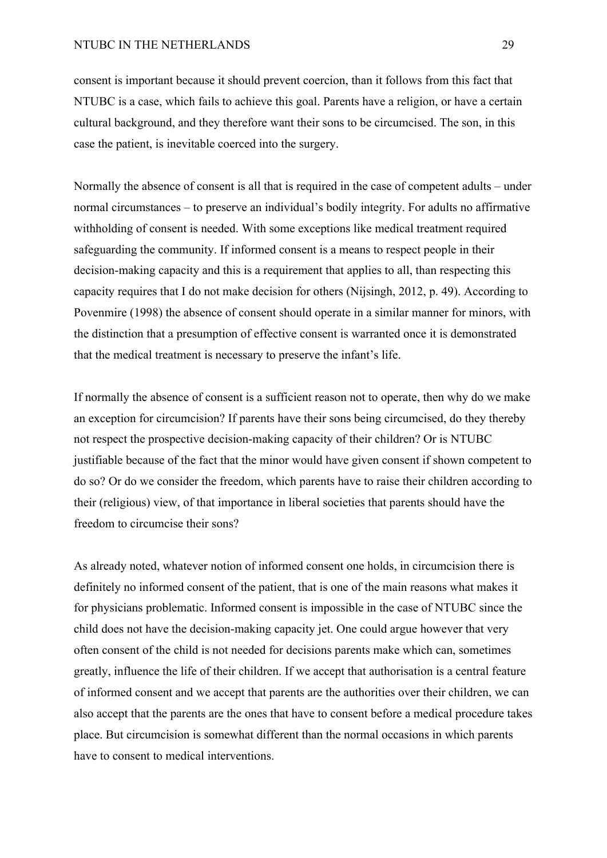consent is important because it should prevent coercion, than it follows from this fact that NTUBC is a case, which fails to achieve this goal. Parents have a religion, or have a certain cultural background, and they therefore want their sons to be circumcised. The son, in this case the patient, is inevitable coerced into the surgery.

Normally the absence of consent is all that is required in the case of competent adults – under normal circumstances – to preserve an individual's bodily integrity. For adults no affirmative withholding of consent is needed. With some exceptions like medical treatment required safeguarding the community. If informed consent is a means to respect people in their decision-making capacity and this is a requirement that applies to all, than respecting this capacity requires that I do not make decision for others (Nijsingh, 2012, p. 49). According to Povenmire (1998) the absence of consent should operate in a similar manner for minors, with the distinction that a presumption of effective consent is warranted once it is demonstrated that the medical treatment is necessary to preserve the infant's life.

If normally the absence of consent is a sufficient reason not to operate, then why do we make an exception for circumcision? If parents have their sons being circumcised, do they thereby not respect the prospective decision-making capacity of their children? Or is NTUBC justifiable because of the fact that the minor would have given consent if shown competent to do so? Or do we consider the freedom, which parents have to raise their children according to their (religious) view, of that importance in liberal societies that parents should have the freedom to circumcise their sons?

As already noted, whatever notion of informed consent one holds, in circumcision there is definitely no informed consent of the patient, that is one of the main reasons what makes it for physicians problematic. Informed consent is impossible in the case of NTUBC since the child does not have the decision-making capacity jet. One could argue however that very often consent of the child is not needed for decisions parents make which can, sometimes greatly, influence the life of their children. If we accept that authorisation is a central feature of informed consent and we accept that parents are the authorities over their children, we can also accept that the parents are the ones that have to consent before a medical procedure takes place. But circumcision is somewhat different than the normal occasions in which parents have to consent to medical interventions.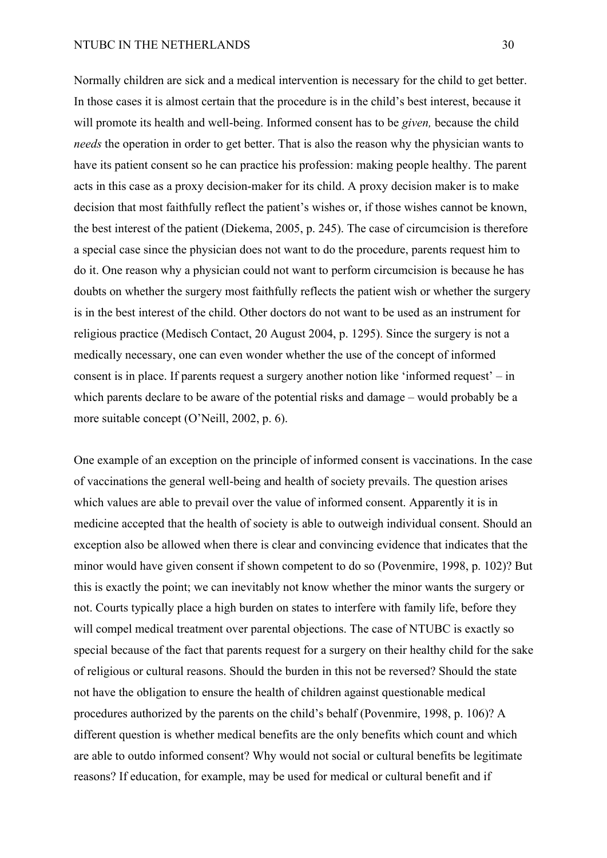Normally children are sick and a medical intervention is necessary for the child to get better. In those cases it is almost certain that the procedure is in the child's best interest, because it will promote its health and well-being. Informed consent has to be *given,* because the child *needs* the operation in order to get better. That is also the reason why the physician wants to have its patient consent so he can practice his profession: making people healthy. The parent acts in this case as a proxy decision-maker for its child. A proxy decision maker is to make decision that most faithfully reflect the patient's wishes or, if those wishes cannot be known, the best interest of the patient (Diekema, 2005, p. 245). The case of circumcision is therefore a special case since the physician does not want to do the procedure, parents request him to do it. One reason why a physician could not want to perform circumcision is because he has doubts on whether the surgery most faithfully reflects the patient wish or whether the surgery is in the best interest of the child. Other doctors do not want to be used as an instrument for religious practice (Medisch Contact, 20 August 2004, p. 1295). Since the surgery is not a medically necessary, one can even wonder whether the use of the concept of informed consent is in place. If parents request a surgery another notion like 'informed request' – in which parents declare to be aware of the potential risks and damage – would probably be a more suitable concept (O'Neill, 2002, p. 6).

One example of an exception on the principle of informed consent is vaccinations. In the case of vaccinations the general well-being and health of society prevails. The question arises which values are able to prevail over the value of informed consent. Apparently it is in medicine accepted that the health of society is able to outweigh individual consent. Should an exception also be allowed when there is clear and convincing evidence that indicates that the minor would have given consent if shown competent to do so (Povenmire, 1998, p. 102)? But this is exactly the point; we can inevitably not know whether the minor wants the surgery or not. Courts typically place a high burden on states to interfere with family life, before they will compel medical treatment over parental objections. The case of NTUBC is exactly so special because of the fact that parents request for a surgery on their healthy child for the sake of religious or cultural reasons. Should the burden in this not be reversed? Should the state not have the obligation to ensure the health of children against questionable medical procedures authorized by the parents on the child's behalf (Povenmire, 1998, p. 106)? A different question is whether medical benefits are the only benefits which count and which are able to outdo informed consent? Why would not social or cultural benefits be legitimate reasons? If education, for example, may be used for medical or cultural benefit and if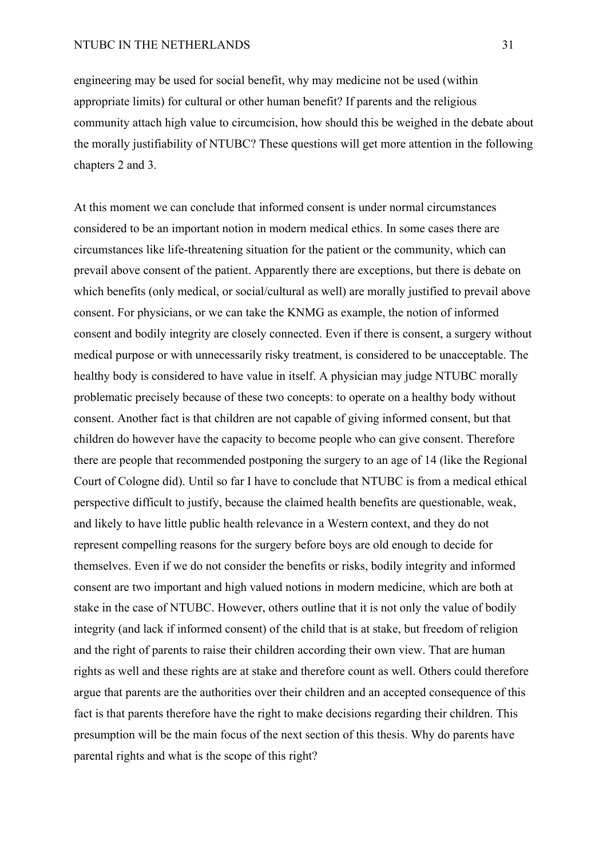engineering may be used for social benefit, why may medicine not be used (within appropriate limits) for cultural or other human benefit? If parents and the religious community attach high value to circumcision, how should this be weighed in the debate about the morally justifiability of NTUBC? These questions will get more attention in the following chapters 2 and 3.

At this moment we can conclude that informed consent is under normal circumstances considered to be an important notion in modern medical ethics. In some cases there are circumstances like life-threatening situation for the patient or the community, which can prevail above consent of the patient. Apparently there are exceptions, but there is debate on which benefits (only medical, or social/cultural as well) are morally justified to prevail above consent. For physicians, or we can take the KNMG as example, the notion of informed consent and bodily integrity are closely connected. Even if there is consent, a surgery without medical purpose or with unnecessarily risky treatment, is considered to be unacceptable. The healthy body is considered to have value in itself. A physician may judge NTUBC morally problematic precisely because of these two concepts: to operate on a healthy body without consent. Another fact is that children are not capable of giving informed consent, but that children do however have the capacity to become people who can give consent. Therefore there are people that recommended postponing the surgery to an age of 14 (like the Regional Court of Cologne did). Until so far I have to conclude that NTUBC is from a medical ethical perspective difficult to justify, because the claimed health benefits are questionable, weak, and likely to have little public health relevance in a Western context, and they do not represent compelling reasons for the surgery before boys are old enough to decide for themselves. Even if we do not consider the benefits or risks, bodily integrity and informed consent are two important and high valued notions in modern medicine, which are both at stake in the case of NTUBC. However, others outline that it is not only the value of bodily integrity (and lack if informed consent) of the child that is at stake, but freedom of religion and the right of parents to raise their children according their own view. That are human rights as well and these rights are at stake and therefore count as well. Others could therefore argue that parents are the authorities over their children and an accepted consequence of this fact is that parents therefore have the right to make decisions regarding their children. This presumption will be the main focus of the next section of this thesis. Why do parents have parental rights and what is the scope of this right?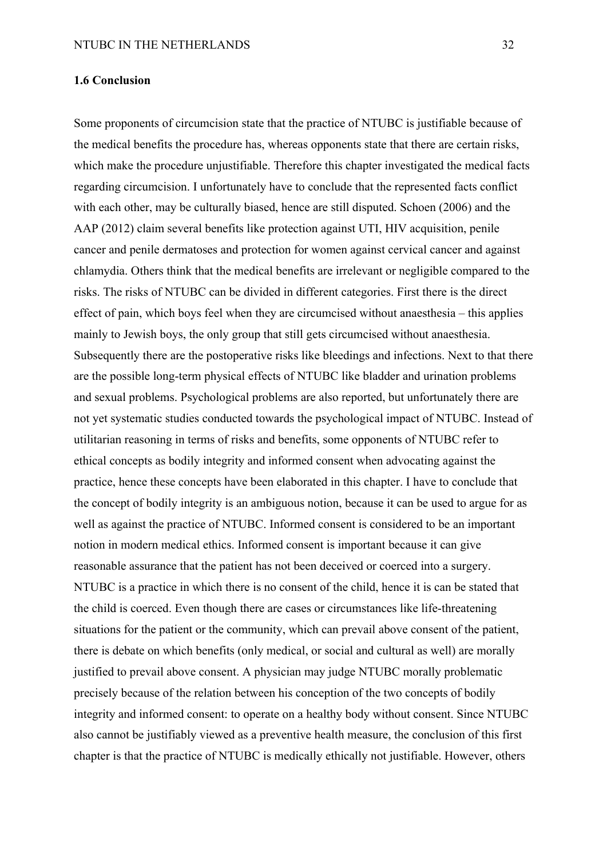### **1.6 Conclusion**

Some proponents of circumcision state that the practice of NTUBC is justifiable because of the medical benefits the procedure has, whereas opponents state that there are certain risks, which make the procedure unjustifiable. Therefore this chapter investigated the medical facts regarding circumcision. I unfortunately have to conclude that the represented facts conflict with each other, may be culturally biased, hence are still disputed. Schoen (2006) and the AAP (2012) claim several benefits like protection against UTI, HIV acquisition, penile cancer and penile dermatoses and protection for women against cervical cancer and against chlamydia. Others think that the medical benefits are irrelevant or negligible compared to the risks. The risks of NTUBC can be divided in different categories. First there is the direct effect of pain, which boys feel when they are circumcised without anaesthesia – this applies mainly to Jewish boys, the only group that still gets circumcised without anaesthesia. Subsequently there are the postoperative risks like bleedings and infections. Next to that there are the possible long-term physical effects of NTUBC like bladder and urination problems and sexual problems. Psychological problems are also reported, but unfortunately there are not yet systematic studies conducted towards the psychological impact of NTUBC. Instead of utilitarian reasoning in terms of risks and benefits, some opponents of NTUBC refer to ethical concepts as bodily integrity and informed consent when advocating against the practice, hence these concepts have been elaborated in this chapter. I have to conclude that the concept of bodily integrity is an ambiguous notion, because it can be used to argue for as well as against the practice of NTUBC. Informed consent is considered to be an important notion in modern medical ethics. Informed consent is important because it can give reasonable assurance that the patient has not been deceived or coerced into a surgery. NTUBC is a practice in which there is no consent of the child, hence it is can be stated that the child is coerced. Even though there are cases or circumstances like life-threatening situations for the patient or the community, which can prevail above consent of the patient, there is debate on which benefits (only medical, or social and cultural as well) are morally justified to prevail above consent. A physician may judge NTUBC morally problematic precisely because of the relation between his conception of the two concepts of bodily integrity and informed consent: to operate on a healthy body without consent. Since NTUBC also cannot be justifiably viewed as a preventive health measure, the conclusion of this first chapter is that the practice of NTUBC is medically ethically not justifiable. However, others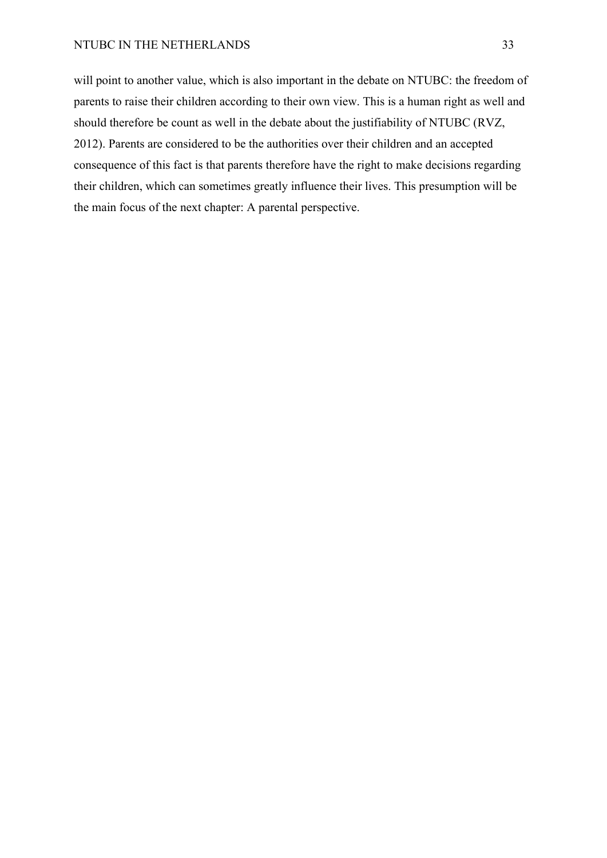## NTUBC IN THE NETHERLANDS 33

will point to another value, which is also important in the debate on NTUBC: the freedom of parents to raise their children according to their own view. This is a human right as well and should therefore be count as well in the debate about the justifiability of NTUBC (RVZ, 2012). Parents are considered to be the authorities over their children and an accepted consequence of this fact is that parents therefore have the right to make decisions regarding their children, which can sometimes greatly influence their lives. This presumption will be the main focus of the next chapter: A parental perspective.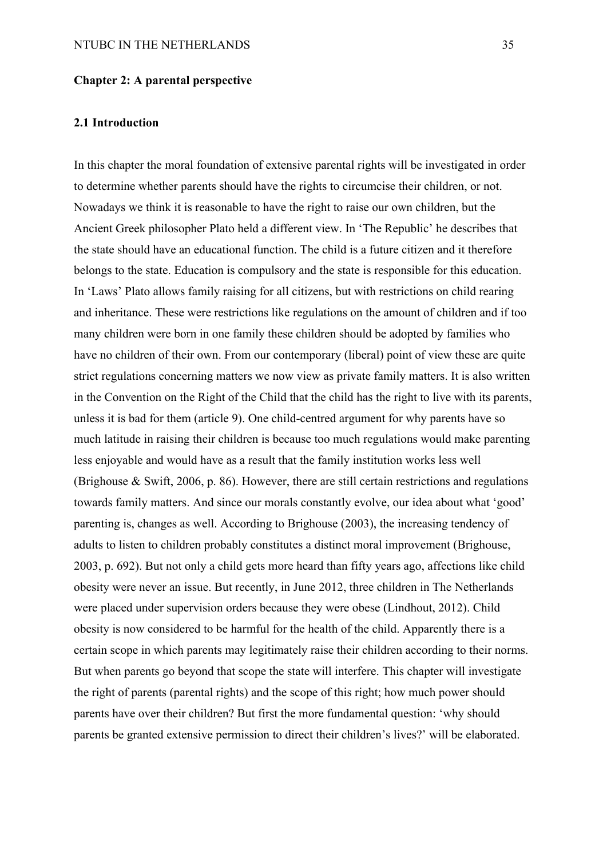#### **Chapter 2: A parental perspective**

### **2.1 Introduction**

In this chapter the moral foundation of extensive parental rights will be investigated in order to determine whether parents should have the rights to circumcise their children, or not. Nowadays we think it is reasonable to have the right to raise our own children, but the Ancient Greek philosopher Plato held a different view. In 'The Republic' he describes that the state should have an educational function. The child is a future citizen and it therefore belongs to the state. Education is compulsory and the state is responsible for this education. In 'Laws' Plato allows family raising for all citizens, but with restrictions on child rearing and inheritance. These were restrictions like regulations on the amount of children and if too many children were born in one family these children should be adopted by families who have no children of their own. From our contemporary (liberal) point of view these are quite strict regulations concerning matters we now view as private family matters. It is also written in the Convention on the Right of the Child that the child has the right to live with its parents, unless it is bad for them (article 9). One child-centred argument for why parents have so much latitude in raising their children is because too much regulations would make parenting less enjoyable and would have as a result that the family institution works less well (Brighouse & Swift, 2006, p. 86). However, there are still certain restrictions and regulations towards family matters. And since our morals constantly evolve, our idea about what 'good' parenting is, changes as well. According to Brighouse (2003), the increasing tendency of adults to listen to children probably constitutes a distinct moral improvement (Brighouse, 2003, p. 692). But not only a child gets more heard than fifty years ago, affections like child obesity were never an issue. But recently, in June 2012, three children in The Netherlands were placed under supervision orders because they were obese (Lindhout, 2012). Child obesity is now considered to be harmful for the health of the child. Apparently there is a certain scope in which parents may legitimately raise their children according to their norms. But when parents go beyond that scope the state will interfere. This chapter will investigate the right of parents (parental rights) and the scope of this right; how much power should parents have over their children? But first the more fundamental question: 'why should parents be granted extensive permission to direct their children's lives?' will be elaborated.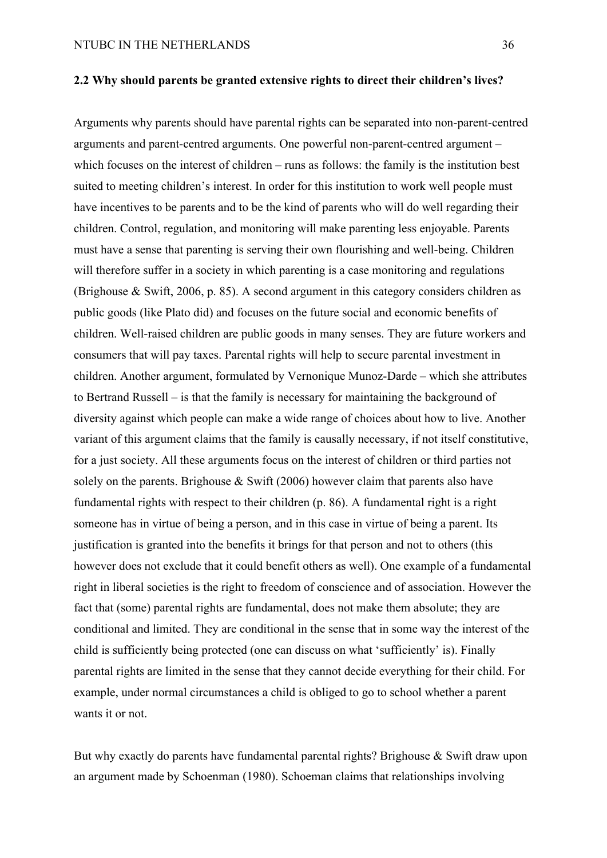Arguments why parents should have parental rights can be separated into non-parent-centred arguments and parent-centred arguments. One powerful non-parent-centred argument – which focuses on the interest of children – runs as follows: the family is the institution best suited to meeting children's interest. In order for this institution to work well people must have incentives to be parents and to be the kind of parents who will do well regarding their children. Control, regulation, and monitoring will make parenting less enjoyable. Parents must have a sense that parenting is serving their own flourishing and well-being. Children will therefore suffer in a society in which parenting is a case monitoring and regulations (Brighouse & Swift, 2006, p. 85). A second argument in this category considers children as public goods (like Plato did) and focuses on the future social and economic benefits of children. Well-raised children are public goods in many senses. They are future workers and consumers that will pay taxes. Parental rights will help to secure parental investment in children. Another argument, formulated by Vernonique Munoz-Darde – which she attributes to Bertrand Russell – is that the family is necessary for maintaining the background of diversity against which people can make a wide range of choices about how to live. Another variant of this argument claims that the family is causally necessary, if not itself constitutive, for a just society. All these arguments focus on the interest of children or third parties not solely on the parents. Brighouse  $\&$  Swift (2006) however claim that parents also have fundamental rights with respect to their children (p. 86). A fundamental right is a right someone has in virtue of being a person, and in this case in virtue of being a parent. Its justification is granted into the benefits it brings for that person and not to others (this however does not exclude that it could benefit others as well). One example of a fundamental right in liberal societies is the right to freedom of conscience and of association. However the fact that (some) parental rights are fundamental, does not make them absolute; they are conditional and limited. They are conditional in the sense that in some way the interest of the child is sufficiently being protected (one can discuss on what 'sufficiently' is). Finally parental rights are limited in the sense that they cannot decide everything for their child. For example, under normal circumstances a child is obliged to go to school whether a parent wants it or not.

But why exactly do parents have fundamental parental rights? Brighouse & Swift draw upon an argument made by Schoenman (1980). Schoeman claims that relationships involving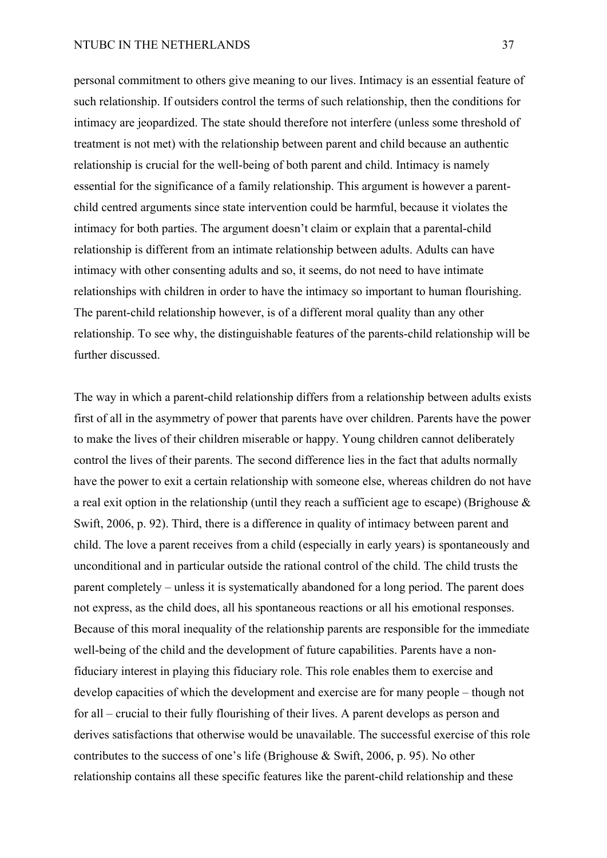## NTUBC IN THE NETHERLANDS 37

personal commitment to others give meaning to our lives. Intimacy is an essential feature of such relationship. If outsiders control the terms of such relationship, then the conditions for intimacy are jeopardized. The state should therefore not interfere (unless some threshold of treatment is not met) with the relationship between parent and child because an authentic relationship is crucial for the well-being of both parent and child. Intimacy is namely essential for the significance of a family relationship. This argument is however a parentchild centred arguments since state intervention could be harmful, because it violates the intimacy for both parties. The argument doesn't claim or explain that a parental-child relationship is different from an intimate relationship between adults. Adults can have intimacy with other consenting adults and so, it seems, do not need to have intimate relationships with children in order to have the intimacy so important to human flourishing. The parent-child relationship however, is of a different moral quality than any other relationship. To see why, the distinguishable features of the parents-child relationship will be further discussed.

The way in which a parent-child relationship differs from a relationship between adults exists first of all in the asymmetry of power that parents have over children. Parents have the power to make the lives of their children miserable or happy. Young children cannot deliberately control the lives of their parents. The second difference lies in the fact that adults normally have the power to exit a certain relationship with someone else, whereas children do not have a real exit option in the relationship (until they reach a sufficient age to escape) (Brighouse  $\&$ Swift, 2006, p. 92). Third, there is a difference in quality of intimacy between parent and child. The love a parent receives from a child (especially in early years) is spontaneously and unconditional and in particular outside the rational control of the child. The child trusts the parent completely – unless it is systematically abandoned for a long period. The parent does not express, as the child does, all his spontaneous reactions or all his emotional responses. Because of this moral inequality of the relationship parents are responsible for the immediate well-being of the child and the development of future capabilities. Parents have a nonfiduciary interest in playing this fiduciary role. This role enables them to exercise and develop capacities of which the development and exercise are for many people – though not for all – crucial to their fully flourishing of their lives. A parent develops as person and derives satisfactions that otherwise would be unavailable. The successful exercise of this role contributes to the success of one's life (Brighouse & Swift, 2006, p. 95). No other relationship contains all these specific features like the parent-child relationship and these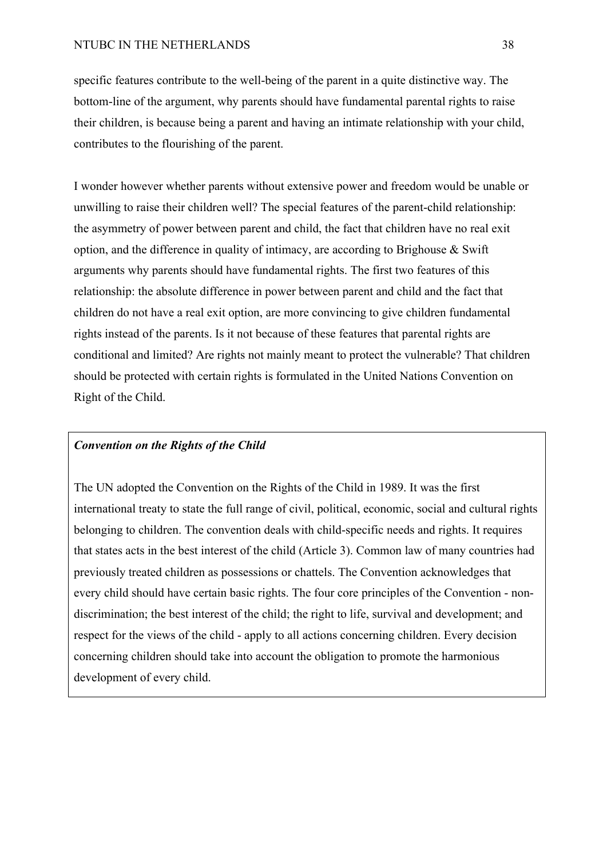specific features contribute to the well-being of the parent in a quite distinctive way. The bottom-line of the argument, why parents should have fundamental parental rights to raise their children, is because being a parent and having an intimate relationship with your child, contributes to the flourishing of the parent.

I wonder however whether parents without extensive power and freedom would be unable or unwilling to raise their children well? The special features of the parent-child relationship: the asymmetry of power between parent and child, the fact that children have no real exit option, and the difference in quality of intimacy, are according to Brighouse  $\&$  Swift arguments why parents should have fundamental rights. The first two features of this relationship: the absolute difference in power between parent and child and the fact that children do not have a real exit option, are more convincing to give children fundamental rights instead of the parents. Is it not because of these features that parental rights are conditional and limited? Are rights not mainly meant to protect the vulnerable? That children should be protected with certain rights is formulated in the United Nations Convention on Right of the Child.

# *Convention on the Rights of the Child*

The UN adopted the Convention on the Rights of the Child in 1989. It was the first international treaty to state the full range of civil, political, economic, social and cultural rights belonging to children. The convention deals with child-specific needs and rights. It requires that states acts in the best interest of the child (Article 3). Common law of many countries had previously treated children as possessions or chattels. The Convention acknowledges that every child should have certain basic rights. The four core principles of the Convention - nondiscrimination; the best interest of the child; the right to life, survival and development; and respect for the views of the child - apply to all actions concerning children. Every decision concerning children should take into account the obligation to promote the harmonious development of every child.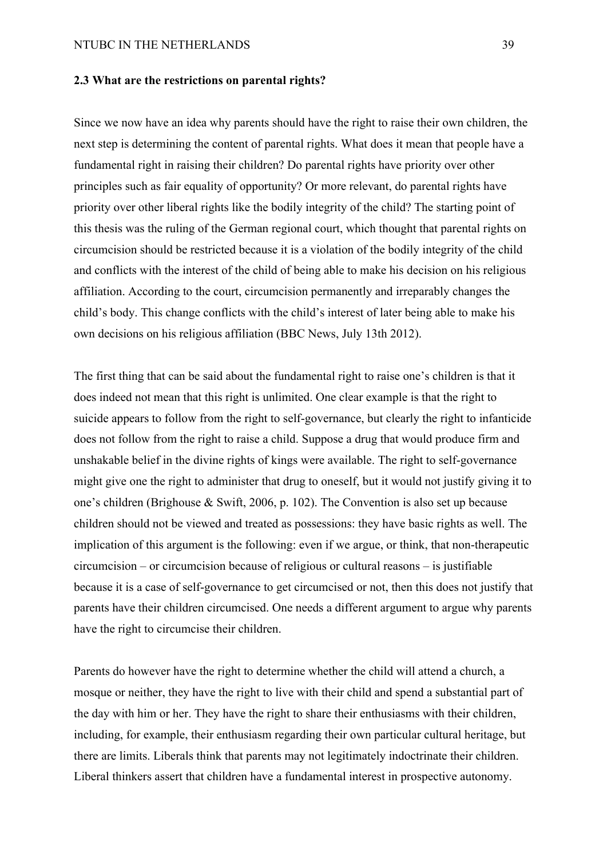#### **2.3 What are the restrictions on parental rights?**

Since we now have an idea why parents should have the right to raise their own children, the next step is determining the content of parental rights. What does it mean that people have a fundamental right in raising their children? Do parental rights have priority over other principles such as fair equality of opportunity? Or more relevant, do parental rights have priority over other liberal rights like the bodily integrity of the child? The starting point of this thesis was the ruling of the German regional court, which thought that parental rights on circumcision should be restricted because it is a violation of the bodily integrity of the child and conflicts with the interest of the child of being able to make his decision on his religious affiliation. According to the court, circumcision permanently and irreparably changes the child's body. This change conflicts with the child's interest of later being able to make his own decisions on his religious affiliation (BBC News, July 13th 2012).

The first thing that can be said about the fundamental right to raise one's children is that it does indeed not mean that this right is unlimited. One clear example is that the right to suicide appears to follow from the right to self-governance, but clearly the right to infanticide does not follow from the right to raise a child. Suppose a drug that would produce firm and unshakable belief in the divine rights of kings were available. The right to self-governance might give one the right to administer that drug to oneself, but it would not justify giving it to one's children (Brighouse & Swift, 2006, p. 102). The Convention is also set up because children should not be viewed and treated as possessions: they have basic rights as well. The implication of this argument is the following: even if we argue, or think, that non-therapeutic circumcision – or circumcision because of religious or cultural reasons – is justifiable because it is a case of self-governance to get circumcised or not, then this does not justify that parents have their children circumcised. One needs a different argument to argue why parents have the right to circumcise their children.

Parents do however have the right to determine whether the child will attend a church, a mosque or neither, they have the right to live with their child and spend a substantial part of the day with him or her. They have the right to share their enthusiasms with their children, including, for example, their enthusiasm regarding their own particular cultural heritage, but there are limits. Liberals think that parents may not legitimately indoctrinate their children. Liberal thinkers assert that children have a fundamental interest in prospective autonomy.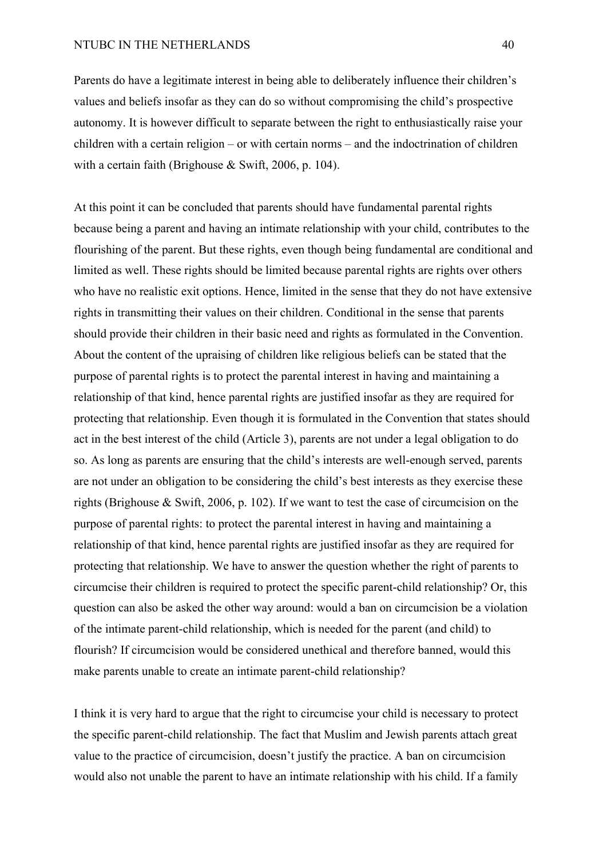## NTUBC IN THE NETHERLANDS 40

Parents do have a legitimate interest in being able to deliberately influence their children's values and beliefs insofar as they can do so without compromising the child's prospective autonomy. It is however difficult to separate between the right to enthusiastically raise your children with a certain religion – or with certain norms – and the indoctrination of children with a certain faith (Brighouse & Swift, 2006, p. 104).

At this point it can be concluded that parents should have fundamental parental rights because being a parent and having an intimate relationship with your child, contributes to the flourishing of the parent. But these rights, even though being fundamental are conditional and limited as well. These rights should be limited because parental rights are rights over others who have no realistic exit options. Hence, limited in the sense that they do not have extensive rights in transmitting their values on their children. Conditional in the sense that parents should provide their children in their basic need and rights as formulated in the Convention. About the content of the upraising of children like religious beliefs can be stated that the purpose of parental rights is to protect the parental interest in having and maintaining a relationship of that kind, hence parental rights are justified insofar as they are required for protecting that relationship. Even though it is formulated in the Convention that states should act in the best interest of the child (Article 3), parents are not under a legal obligation to do so. As long as parents are ensuring that the child's interests are well-enough served, parents are not under an obligation to be considering the child's best interests as they exercise these rights (Brighouse & Swift, 2006, p. 102). If we want to test the case of circumcision on the purpose of parental rights: to protect the parental interest in having and maintaining a relationship of that kind, hence parental rights are justified insofar as they are required for protecting that relationship. We have to answer the question whether the right of parents to circumcise their children is required to protect the specific parent-child relationship? Or, this question can also be asked the other way around: would a ban on circumcision be a violation of the intimate parent-child relationship, which is needed for the parent (and child) to flourish? If circumcision would be considered unethical and therefore banned, would this make parents unable to create an intimate parent-child relationship?

I think it is very hard to argue that the right to circumcise your child is necessary to protect the specific parent-child relationship. The fact that Muslim and Jewish parents attach great value to the practice of circumcision, doesn't justify the practice. A ban on circumcision would also not unable the parent to have an intimate relationship with his child. If a family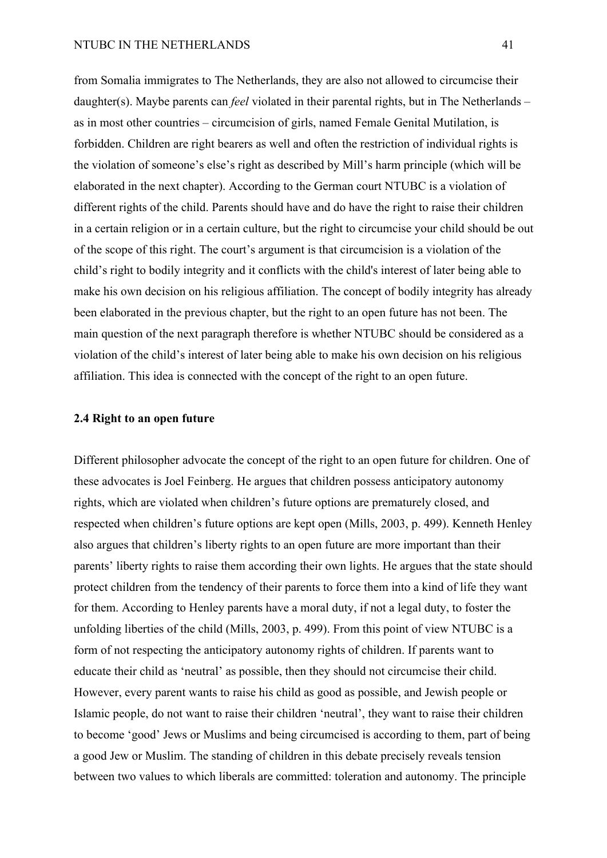from Somalia immigrates to The Netherlands, they are also not allowed to circumcise their daughter(s). Maybe parents can *feel* violated in their parental rights, but in The Netherlands – as in most other countries – circumcision of girls, named Female Genital Mutilation, is forbidden. Children are right bearers as well and often the restriction of individual rights is the violation of someone's else's right as described by Mill's harm principle (which will be elaborated in the next chapter). According to the German court NTUBC is a violation of different rights of the child. Parents should have and do have the right to raise their children in a certain religion or in a certain culture, but the right to circumcise your child should be out of the scope of this right. The court's argument is that circumcision is a violation of the child's right to bodily integrity and it conflicts with the child's interest of later being able to make his own decision on his religious affiliation. The concept of bodily integrity has already been elaborated in the previous chapter, but the right to an open future has not been. The main question of the next paragraph therefore is whether NTUBC should be considered as a violation of the child's interest of later being able to make his own decision on his religious affiliation. This idea is connected with the concept of the right to an open future.

## **2.4 Right to an open future**

Different philosopher advocate the concept of the right to an open future for children. One of these advocates is Joel Feinberg. He argues that children possess anticipatory autonomy rights, which are violated when children's future options are prematurely closed, and respected when children's future options are kept open (Mills, 2003, p. 499). Kenneth Henley also argues that children's liberty rights to an open future are more important than their parents' liberty rights to raise them according their own lights. He argues that the state should protect children from the tendency of their parents to force them into a kind of life they want for them. According to Henley parents have a moral duty, if not a legal duty, to foster the unfolding liberties of the child (Mills, 2003, p. 499). From this point of view NTUBC is a form of not respecting the anticipatory autonomy rights of children. If parents want to educate their child as 'neutral' as possible, then they should not circumcise their child. However, every parent wants to raise his child as good as possible, and Jewish people or Islamic people, do not want to raise their children 'neutral', they want to raise their children to become 'good' Jews or Muslims and being circumcised is according to them, part of being a good Jew or Muslim. The standing of children in this debate precisely reveals tension between two values to which liberals are committed: toleration and autonomy. The principle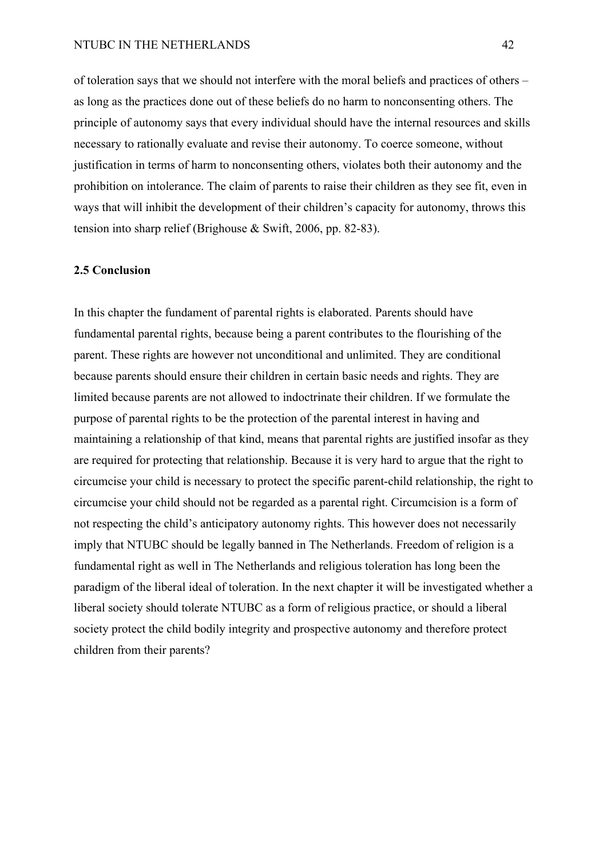## NTUBC IN THE NETHERLANDS 42

of toleration says that we should not interfere with the moral beliefs and practices of others – as long as the practices done out of these beliefs do no harm to nonconsenting others. The principle of autonomy says that every individual should have the internal resources and skills necessary to rationally evaluate and revise their autonomy. To coerce someone, without justification in terms of harm to nonconsenting others, violates both their autonomy and the prohibition on intolerance. The claim of parents to raise their children as they see fit, even in ways that will inhibit the development of their children's capacity for autonomy, throws this tension into sharp relief (Brighouse & Swift, 2006, pp. 82-83).

### **2.5 Conclusion**

In this chapter the fundament of parental rights is elaborated. Parents should have fundamental parental rights, because being a parent contributes to the flourishing of the parent. These rights are however not unconditional and unlimited. They are conditional because parents should ensure their children in certain basic needs and rights. They are limited because parents are not allowed to indoctrinate their children. If we formulate the purpose of parental rights to be the protection of the parental interest in having and maintaining a relationship of that kind, means that parental rights are justified insofar as they are required for protecting that relationship. Because it is very hard to argue that the right to circumcise your child is necessary to protect the specific parent-child relationship, the right to circumcise your child should not be regarded as a parental right. Circumcision is a form of not respecting the child's anticipatory autonomy rights. This however does not necessarily imply that NTUBC should be legally banned in The Netherlands. Freedom of religion is a fundamental right as well in The Netherlands and religious toleration has long been the paradigm of the liberal ideal of toleration. In the next chapter it will be investigated whether a liberal society should tolerate NTUBC as a form of religious practice, or should a liberal society protect the child bodily integrity and prospective autonomy and therefore protect children from their parents?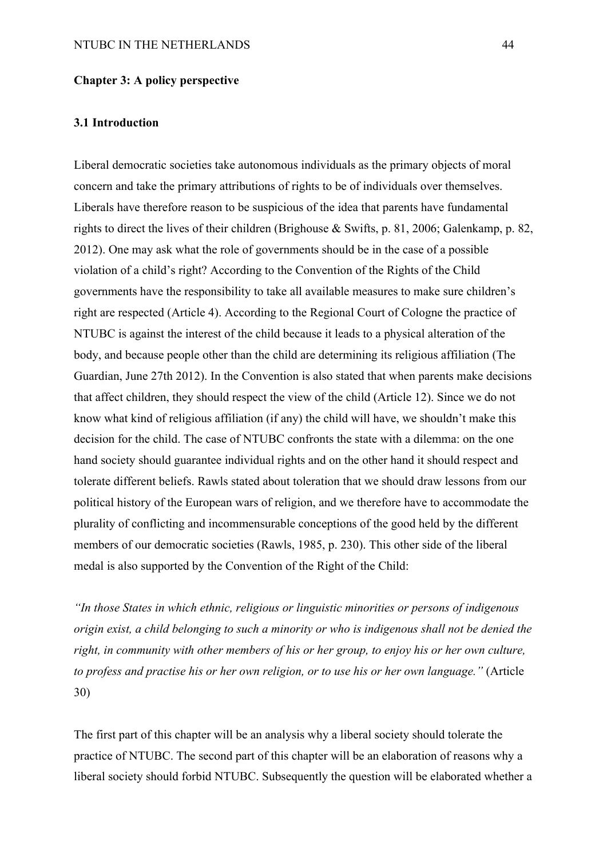### **Chapter 3: A policy perspective**

### **3.1 Introduction**

Liberal democratic societies take autonomous individuals as the primary objects of moral concern and take the primary attributions of rights to be of individuals over themselves. Liberals have therefore reason to be suspicious of the idea that parents have fundamental rights to direct the lives of their children (Brighouse & Swifts, p. 81, 2006; Galenkamp, p. 82, 2012). One may ask what the role of governments should be in the case of a possible violation of a child's right? According to the Convention of the Rights of the Child governments have the responsibility to take all available measures to make sure children's right are respected (Article 4). According to the Regional Court of Cologne the practice of NTUBC is against the interest of the child because it leads to a physical alteration of the body, and because people other than the child are determining its religious affiliation (The Guardian, June 27th 2012). In the Convention is also stated that when parents make decisions that affect children, they should respect the view of the child (Article 12). Since we do not know what kind of religious affiliation (if any) the child will have, we shouldn't make this decision for the child. The case of NTUBC confronts the state with a dilemma: on the one hand society should guarantee individual rights and on the other hand it should respect and tolerate different beliefs. Rawls stated about toleration that we should draw lessons from our political history of the European wars of religion, and we therefore have to accommodate the plurality of conflicting and incommensurable conceptions of the good held by the different members of our democratic societies (Rawls, 1985, p. 230). This other side of the liberal medal is also supported by the Convention of the Right of the Child:

*"In those States in which ethnic, religious or linguistic minorities or persons of indigenous origin exist, a child belonging to such a minority or who is indigenous shall not be denied the right, in community with other members of his or her group, to enjoy his or her own culture, to profess and practise his or her own religion, or to use his or her own language."* (Article 30)

The first part of this chapter will be an analysis why a liberal society should tolerate the practice of NTUBC. The second part of this chapter will be an elaboration of reasons why a liberal society should forbid NTUBC. Subsequently the question will be elaborated whether a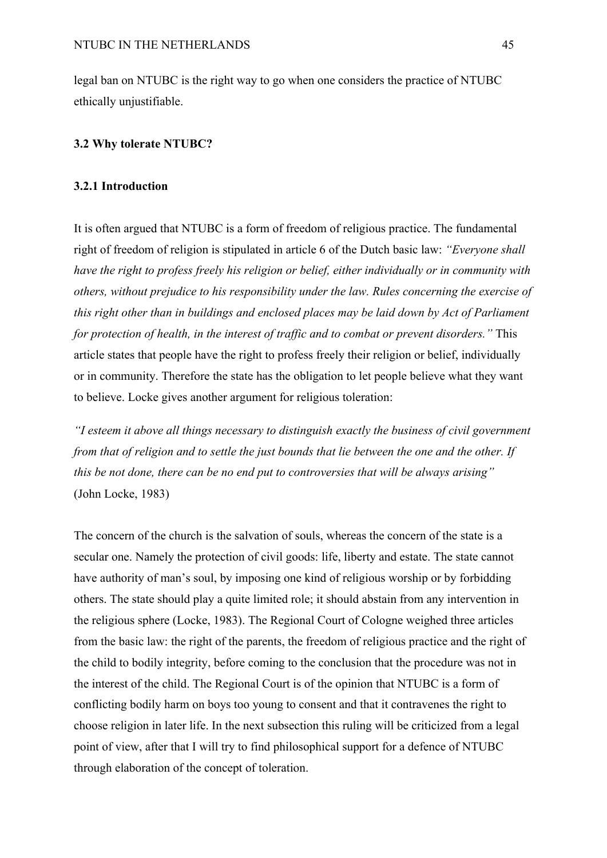legal ban on NTUBC is the right way to go when one considers the practice of NTUBC ethically unjustifiable.

## **3.2 Why tolerate NTUBC?**

### **3.2.1 Introduction**

It is often argued that NTUBC is a form of freedom of religious practice. The fundamental right of freedom of religion is stipulated in article 6 of the Dutch basic law: *"Everyone shall have the right to profess freely his religion or belief, either individually or in community with others, without prejudice to his responsibility under the law. Rules concerning the exercise of this right other than in buildings and enclosed places may be laid down by Act of Parliament for protection of health, in the interest of traffic and to combat or prevent disorders."* This article states that people have the right to profess freely their religion or belief, individually or in community. Therefore the state has the obligation to let people believe what they want to believe. Locke gives another argument for religious toleration:

*"I esteem it above all things necessary to distinguish exactly the business of civil government from that of religion and to settle the just bounds that lie between the one and the other. If this be not done, there can be no end put to controversies that will be always arising"*  (John Locke, 1983)

The concern of the church is the salvation of souls, whereas the concern of the state is a secular one. Namely the protection of civil goods: life, liberty and estate. The state cannot have authority of man's soul, by imposing one kind of religious worship or by forbidding others. The state should play a quite limited role; it should abstain from any intervention in the religious sphere (Locke, 1983). The Regional Court of Cologne weighed three articles from the basic law: the right of the parents, the freedom of religious practice and the right of the child to bodily integrity, before coming to the conclusion that the procedure was not in the interest of the child. The Regional Court is of the opinion that NTUBC is a form of conflicting bodily harm on boys too young to consent and that it contravenes the right to choose religion in later life. In the next subsection this ruling will be criticized from a legal point of view, after that I will try to find philosophical support for a defence of NTUBC through elaboration of the concept of toleration.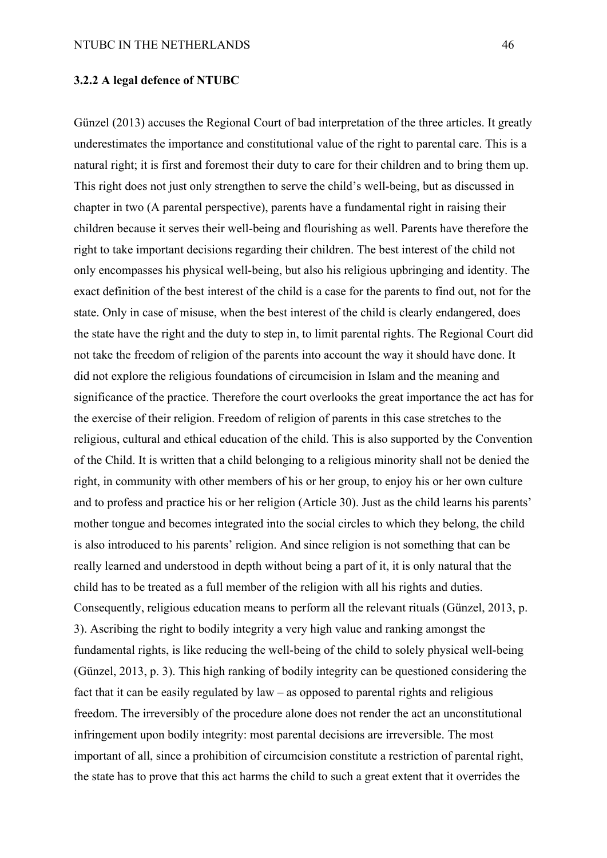### **3.2.2 A legal defence of NTUBC**

Günzel (2013) accuses the Regional Court of bad interpretation of the three articles. It greatly underestimates the importance and constitutional value of the right to parental care. This is a natural right; it is first and foremost their duty to care for their children and to bring them up. This right does not just only strengthen to serve the child's well-being, but as discussed in chapter in two (A parental perspective), parents have a fundamental right in raising their children because it serves their well-being and flourishing as well. Parents have therefore the right to take important decisions regarding their children. The best interest of the child not only encompasses his physical well-being, but also his religious upbringing and identity. The exact definition of the best interest of the child is a case for the parents to find out, not for the state. Only in case of misuse, when the best interest of the child is clearly endangered, does the state have the right and the duty to step in, to limit parental rights. The Regional Court did not take the freedom of religion of the parents into account the way it should have done. It did not explore the religious foundations of circumcision in Islam and the meaning and significance of the practice. Therefore the court overlooks the great importance the act has for the exercise of their religion. Freedom of religion of parents in this case stretches to the religious, cultural and ethical education of the child. This is also supported by the Convention of the Child. It is written that a child belonging to a religious minority shall not be denied the right, in community with other members of his or her group, to enjoy his or her own culture and to profess and practice his or her religion (Article 30). Just as the child learns his parents' mother tongue and becomes integrated into the social circles to which they belong, the child is also introduced to his parents' religion. And since religion is not something that can be really learned and understood in depth without being a part of it, it is only natural that the child has to be treated as a full member of the religion with all his rights and duties. Consequently, religious education means to perform all the relevant rituals (Günzel, 2013, p. 3). Ascribing the right to bodily integrity a very high value and ranking amongst the fundamental rights, is like reducing the well-being of the child to solely physical well-being (Günzel, 2013, p. 3). This high ranking of bodily integrity can be questioned considering the fact that it can be easily regulated by law – as opposed to parental rights and religious freedom. The irreversibly of the procedure alone does not render the act an unconstitutional infringement upon bodily integrity: most parental decisions are irreversible. The most important of all, since a prohibition of circumcision constitute a restriction of parental right, the state has to prove that this act harms the child to such a great extent that it overrides the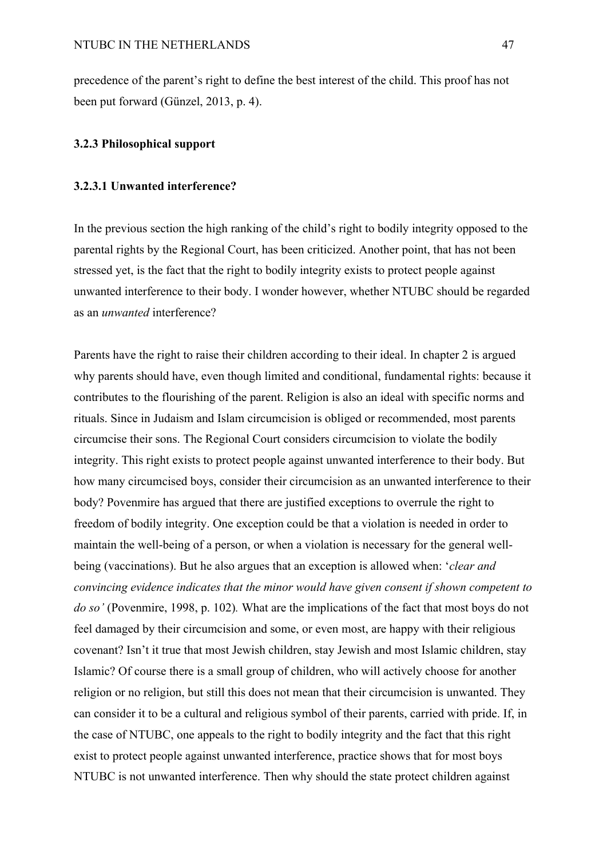precedence of the parent's right to define the best interest of the child. This proof has not been put forward (Günzel, 2013, p. 4).

# **3.2.3 Philosophical support**

### **3.2.3.1 Unwanted interference?**

In the previous section the high ranking of the child's right to bodily integrity opposed to the parental rights by the Regional Court, has been criticized. Another point, that has not been stressed yet, is the fact that the right to bodily integrity exists to protect people against unwanted interference to their body. I wonder however, whether NTUBC should be regarded as an *unwanted* interference?

Parents have the right to raise their children according to their ideal. In chapter 2 is argued why parents should have, even though limited and conditional, fundamental rights: because it contributes to the flourishing of the parent. Religion is also an ideal with specific norms and rituals. Since in Judaism and Islam circumcision is obliged or recommended, most parents circumcise their sons. The Regional Court considers circumcision to violate the bodily integrity. This right exists to protect people against unwanted interference to their body. But how many circumcised boys, consider their circumcision as an unwanted interference to their body? Povenmire has argued that there are justified exceptions to overrule the right to freedom of bodily integrity. One exception could be that a violation is needed in order to maintain the well-being of a person, or when a violation is necessary for the general wellbeing (vaccinations). But he also argues that an exception is allowed when: '*clear and convincing evidence indicates that the minor would have given consent if shown competent to do so'* (Povenmire, 1998, p. 102)*.* What are the implications of the fact that most boys do not feel damaged by their circumcision and some, or even most, are happy with their religious covenant? Isn't it true that most Jewish children, stay Jewish and most Islamic children, stay Islamic? Of course there is a small group of children, who will actively choose for another religion or no religion, but still this does not mean that their circumcision is unwanted. They can consider it to be a cultural and religious symbol of their parents, carried with pride. If, in the case of NTUBC, one appeals to the right to bodily integrity and the fact that this right exist to protect people against unwanted interference, practice shows that for most boys NTUBC is not unwanted interference. Then why should the state protect children against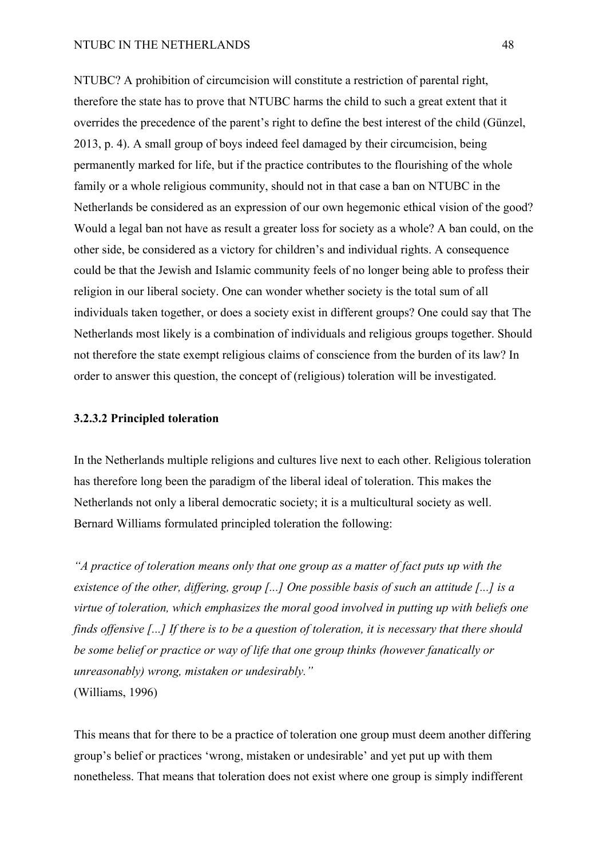#### NTUBC IN THE NETHERLANDS 48

NTUBC? A prohibition of circumcision will constitute a restriction of parental right, therefore the state has to prove that NTUBC harms the child to such a great extent that it overrides the precedence of the parent's right to define the best interest of the child (Günzel, 2013, p. 4). A small group of boys indeed feel damaged by their circumcision, being permanently marked for life, but if the practice contributes to the flourishing of the whole family or a whole religious community, should not in that case a ban on NTUBC in the Netherlands be considered as an expression of our own hegemonic ethical vision of the good? Would a legal ban not have as result a greater loss for society as a whole? A ban could, on the other side, be considered as a victory for children's and individual rights. A consequence could be that the Jewish and Islamic community feels of no longer being able to profess their religion in our liberal society. One can wonder whether society is the total sum of all individuals taken together, or does a society exist in different groups? One could say that The Netherlands most likely is a combination of individuals and religious groups together. Should not therefore the state exempt religious claims of conscience from the burden of its law? In order to answer this question, the concept of (religious) toleration will be investigated.

## **3.2.3.2 Principled toleration**

In the Netherlands multiple religions and cultures live next to each other. Religious toleration has therefore long been the paradigm of the liberal ideal of toleration. This makes the Netherlands not only a liberal democratic society; it is a multicultural society as well. Bernard Williams formulated principled toleration the following:

*"A practice of toleration means only that one group as a matter of fact puts up with the existence of the other, differing, group [...] One possible basis of such an attitude [...] is a virtue of toleration, which emphasizes the moral good involved in putting up with beliefs one finds offensive [...] If there is to be a question of toleration, it is necessary that there should be some belief or practice or way of life that one group thinks (however fanatically or unreasonably) wrong, mistaken or undesirably."* (Williams, 1996)

This means that for there to be a practice of toleration one group must deem another differing group's belief or practices 'wrong, mistaken or undesirable' and yet put up with them nonetheless. That means that toleration does not exist where one group is simply indifferent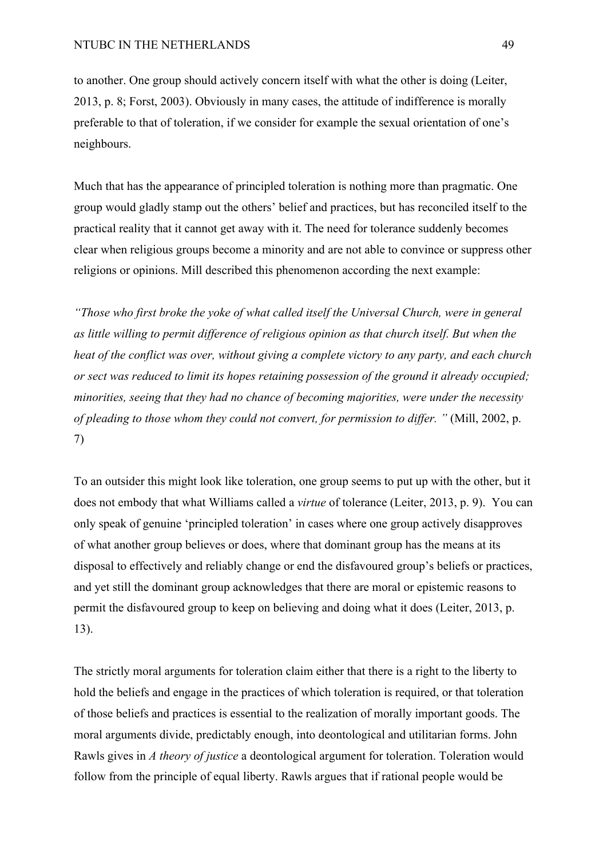to another. One group should actively concern itself with what the other is doing (Leiter, 2013, p. 8; Forst, 2003). Obviously in many cases, the attitude of indifference is morally preferable to that of toleration, if we consider for example the sexual orientation of one's neighbours.

Much that has the appearance of principled toleration is nothing more than pragmatic. One group would gladly stamp out the others' belief and practices, but has reconciled itself to the practical reality that it cannot get away with it. The need for tolerance suddenly becomes clear when religious groups become a minority and are not able to convince or suppress other religions or opinions. Mill described this phenomenon according the next example:

*"Those who first broke the yoke of what called itself the Universal Church, were in general as little willing to permit difference of religious opinion as that church itself. But when the heat of the conflict was over, without giving a complete victory to any party, and each church or sect was reduced to limit its hopes retaining possession of the ground it already occupied; minorities, seeing that they had no chance of becoming majorities, were under the necessity of pleading to those whom they could not convert, for permission to differ. "* (Mill, 2002, p. 7)

To an outsider this might look like toleration, one group seems to put up with the other, but it does not embody that what Williams called a *virtue* of tolerance (Leiter, 2013, p. 9). You can only speak of genuine 'principled toleration' in cases where one group actively disapproves of what another group believes or does, where that dominant group has the means at its disposal to effectively and reliably change or end the disfavoured group's beliefs or practices, and yet still the dominant group acknowledges that there are moral or epistemic reasons to permit the disfavoured group to keep on believing and doing what it does (Leiter, 2013, p. 13).

The strictly moral arguments for toleration claim either that there is a right to the liberty to hold the beliefs and engage in the practices of which toleration is required, or that toleration of those beliefs and practices is essential to the realization of morally important goods. The moral arguments divide, predictably enough, into deontological and utilitarian forms. John Rawls gives in *A theory of justice* a deontological argument for toleration. Toleration would follow from the principle of equal liberty. Rawls argues that if rational people would be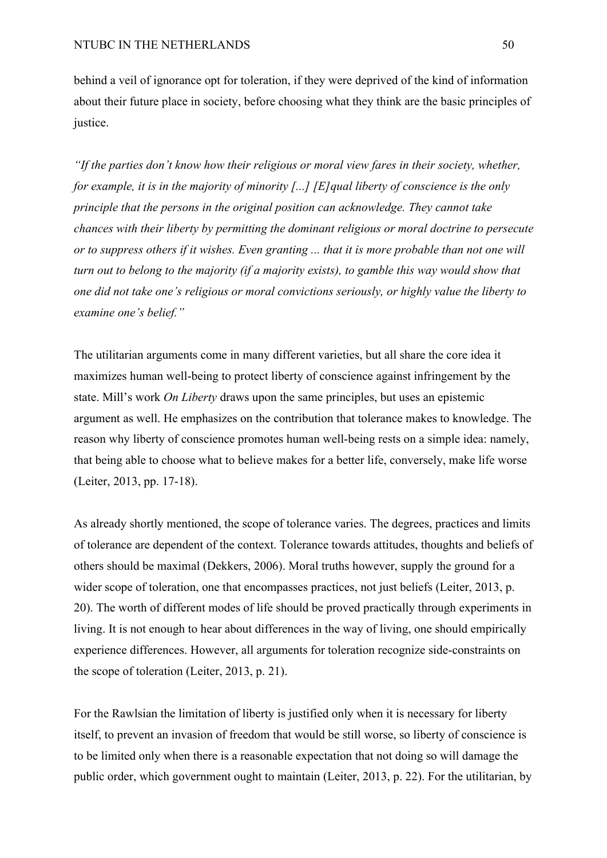behind a veil of ignorance opt for toleration, if they were deprived of the kind of information about their future place in society, before choosing what they think are the basic principles of justice.

*"If the parties don't know how their religious or moral view fares in their society, whether, for example, it is in the majority of minority [...] [E]qual liberty of conscience is the only principle that the persons in the original position can acknowledge. They cannot take chances with their liberty by permitting the dominant religious or moral doctrine to persecute or to suppress others if it wishes. Even granting ... that it is more probable than not one will turn out to belong to the majority (if a majority exists), to gamble this way would show that one did not take one's religious or moral convictions seriously, or highly value the liberty to examine one's belief."*

The utilitarian arguments come in many different varieties, but all share the core idea it maximizes human well-being to protect liberty of conscience against infringement by the state. Mill's work *On Liberty* draws upon the same principles, but uses an epistemic argument as well. He emphasizes on the contribution that tolerance makes to knowledge. The reason why liberty of conscience promotes human well-being rests on a simple idea: namely, that being able to choose what to believe makes for a better life, conversely, make life worse (Leiter, 2013, pp. 17-18).

As already shortly mentioned, the scope of tolerance varies. The degrees, practices and limits of tolerance are dependent of the context. Tolerance towards attitudes, thoughts and beliefs of others should be maximal (Dekkers, 2006). Moral truths however, supply the ground for a wider scope of toleration, one that encompasses practices, not just beliefs (Leiter, 2013, p. 20). The worth of different modes of life should be proved practically through experiments in living. It is not enough to hear about differences in the way of living, one should empirically experience differences. However, all arguments for toleration recognize side-constraints on the scope of toleration (Leiter, 2013, p. 21).

For the Rawlsian the limitation of liberty is justified only when it is necessary for liberty itself, to prevent an invasion of freedom that would be still worse, so liberty of conscience is to be limited only when there is a reasonable expectation that not doing so will damage the public order, which government ought to maintain (Leiter, 2013, p. 22). For the utilitarian, by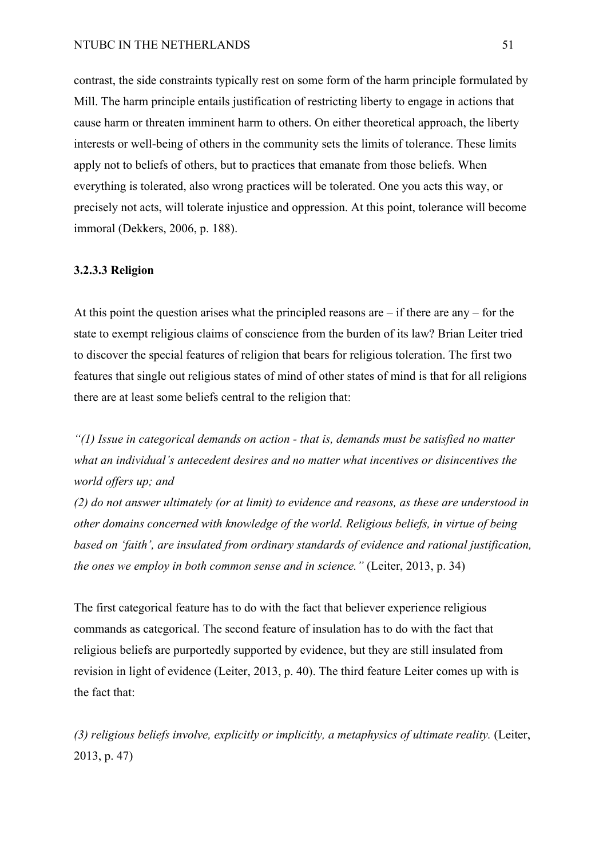#### NTUBC IN THE NETHERLANDS 51

contrast, the side constraints typically rest on some form of the harm principle formulated by Mill. The harm principle entails justification of restricting liberty to engage in actions that cause harm or threaten imminent harm to others. On either theoretical approach, the liberty interests or well-being of others in the community sets the limits of tolerance. These limits apply not to beliefs of others, but to practices that emanate from those beliefs. When everything is tolerated, also wrong practices will be tolerated. One you acts this way, or precisely not acts, will tolerate injustice and oppression. At this point, tolerance will become immoral (Dekkers, 2006, p. 188).

### **3.2.3.3 Religion**

At this point the question arises what the principled reasons are – if there are any – for the state to exempt religious claims of conscience from the burden of its law? Brian Leiter tried to discover the special features of religion that bears for religious toleration. The first two features that single out religious states of mind of other states of mind is that for all religions there are at least some beliefs central to the religion that:

*"(1) Issue in categorical demands on action - that is, demands must be satisfied no matter what an individual's antecedent desires and no matter what incentives or disincentives the world offers up; and* 

*(2) do not answer ultimately (or at limit) to evidence and reasons, as these are understood in other domains concerned with knowledge of the world. Religious beliefs, in virtue of being based on 'faith', are insulated from ordinary standards of evidence and rational justification, the ones we employ in both common sense and in science."* (Leiter, 2013, p. 34)

The first categorical feature has to do with the fact that believer experience religious commands as categorical. The second feature of insulation has to do with the fact that religious beliefs are purportedly supported by evidence, but they are still insulated from revision in light of evidence (Leiter, 2013, p. 40). The third feature Leiter comes up with is the fact that:

*(3) religious beliefs involve, explicitly or implicitly, a metaphysics of ultimate reality.* (Leiter, 2013, p. 47)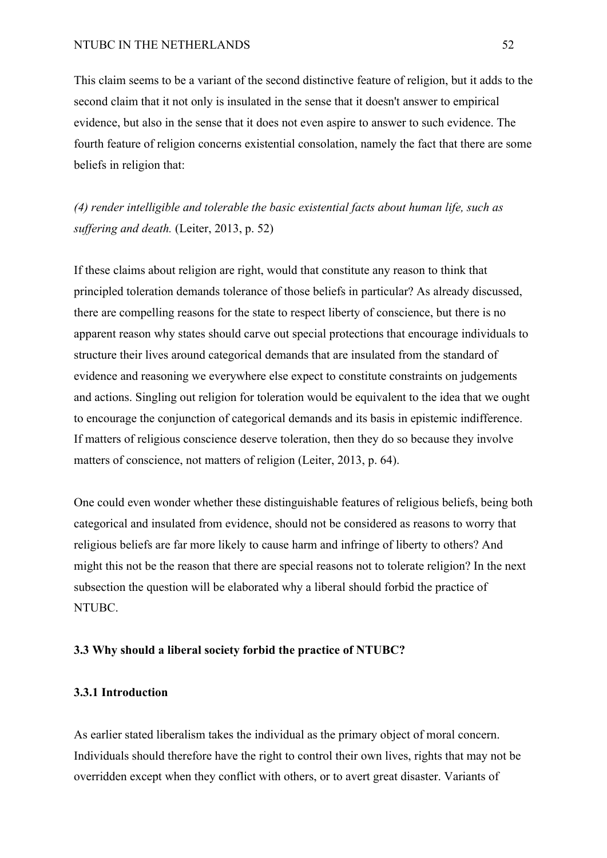This claim seems to be a variant of the second distinctive feature of religion, but it adds to the second claim that it not only is insulated in the sense that it doesn't answer to empirical evidence, but also in the sense that it does not even aspire to answer to such evidence. The fourth feature of religion concerns existential consolation, namely the fact that there are some beliefs in religion that:

*(4) render intelligible and tolerable the basic existential facts about human life, such as suffering and death.* (Leiter, 2013, p. 52)

If these claims about religion are right, would that constitute any reason to think that principled toleration demands tolerance of those beliefs in particular? As already discussed, there are compelling reasons for the state to respect liberty of conscience, but there is no apparent reason why states should carve out special protections that encourage individuals to structure their lives around categorical demands that are insulated from the standard of evidence and reasoning we everywhere else expect to constitute constraints on judgements and actions. Singling out religion for toleration would be equivalent to the idea that we ought to encourage the conjunction of categorical demands and its basis in epistemic indifference. If matters of religious conscience deserve toleration, then they do so because they involve matters of conscience, not matters of religion (Leiter, 2013, p. 64).

One could even wonder whether these distinguishable features of religious beliefs, being both categorical and insulated from evidence, should not be considered as reasons to worry that religious beliefs are far more likely to cause harm and infringe of liberty to others? And might this not be the reason that there are special reasons not to tolerate religion? In the next subsection the question will be elaborated why a liberal should forbid the practice of NTUBC.

#### **3.3 Why should a liberal society forbid the practice of NTUBC?**

### **3.3.1 Introduction**

As earlier stated liberalism takes the individual as the primary object of moral concern. Individuals should therefore have the right to control their own lives, rights that may not be overridden except when they conflict with others, or to avert great disaster. Variants of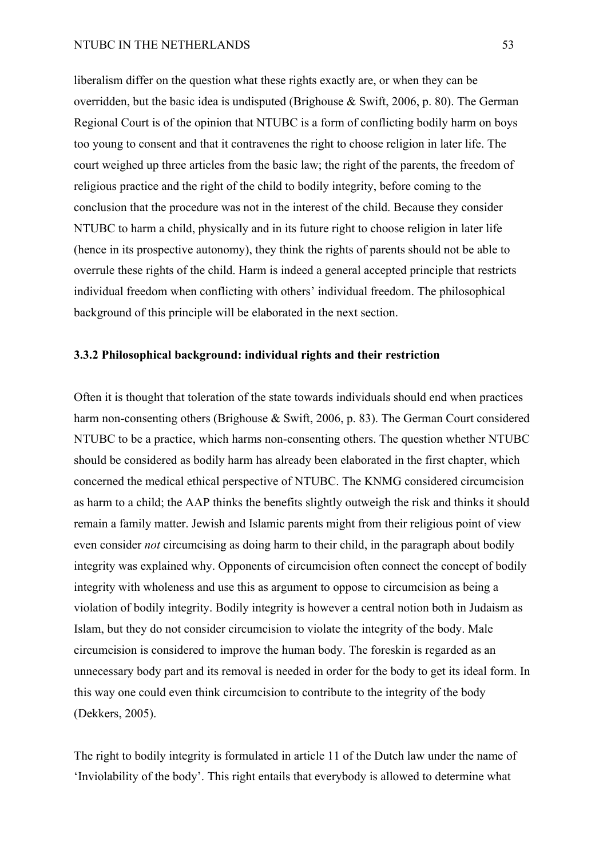liberalism differ on the question what these rights exactly are, or when they can be overridden, but the basic idea is undisputed (Brighouse & Swift, 2006, p. 80). The German Regional Court is of the opinion that NTUBC is a form of conflicting bodily harm on boys too young to consent and that it contravenes the right to choose religion in later life. The court weighed up three articles from the basic law; the right of the parents, the freedom of religious practice and the right of the child to bodily integrity, before coming to the conclusion that the procedure was not in the interest of the child. Because they consider NTUBC to harm a child, physically and in its future right to choose religion in later life (hence in its prospective autonomy), they think the rights of parents should not be able to overrule these rights of the child. Harm is indeed a general accepted principle that restricts individual freedom when conflicting with others' individual freedom. The philosophical background of this principle will be elaborated in the next section.

# **3.3.2 Philosophical background: individual rights and their restriction**

Often it is thought that toleration of the state towards individuals should end when practices harm non-consenting others (Brighouse & Swift, 2006, p. 83). The German Court considered NTUBC to be a practice, which harms non-consenting others. The question whether NTUBC should be considered as bodily harm has already been elaborated in the first chapter, which concerned the medical ethical perspective of NTUBC. The KNMG considered circumcision as harm to a child; the AAP thinks the benefits slightly outweigh the risk and thinks it should remain a family matter. Jewish and Islamic parents might from their religious point of view even consider *not* circumcising as doing harm to their child, in the paragraph about bodily integrity was explained why. Opponents of circumcision often connect the concept of bodily integrity with wholeness and use this as argument to oppose to circumcision as being a violation of bodily integrity. Bodily integrity is however a central notion both in Judaism as Islam, but they do not consider circumcision to violate the integrity of the body. Male circumcision is considered to improve the human body. The foreskin is regarded as an unnecessary body part and its removal is needed in order for the body to get its ideal form. In this way one could even think circumcision to contribute to the integrity of the body (Dekkers, 2005).

The right to bodily integrity is formulated in article 11 of the Dutch law under the name of 'Inviolability of the body'. This right entails that everybody is allowed to determine what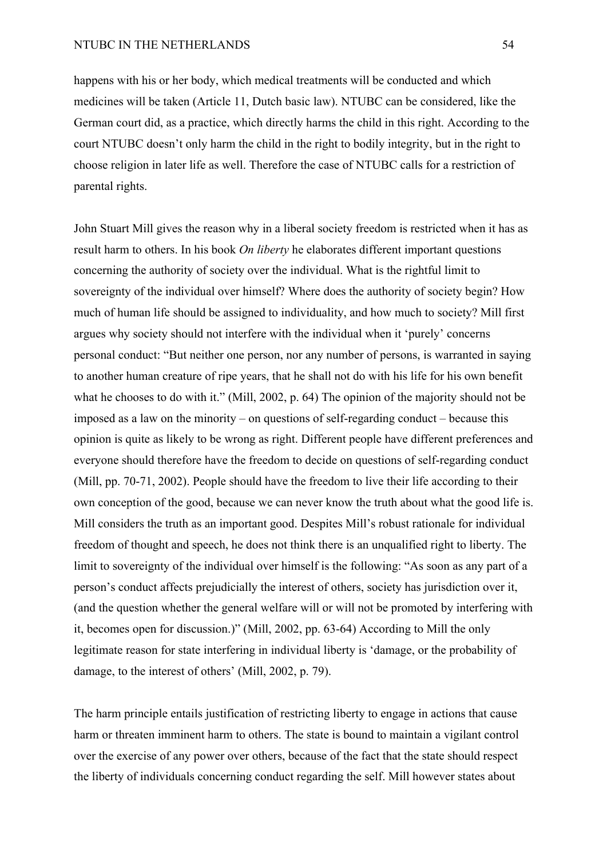happens with his or her body, which medical treatments will be conducted and which medicines will be taken (Article 11, Dutch basic law). NTUBC can be considered, like the German court did, as a practice, which directly harms the child in this right. According to the court NTUBC doesn't only harm the child in the right to bodily integrity, but in the right to choose religion in later life as well. Therefore the case of NTUBC calls for a restriction of parental rights.

John Stuart Mill gives the reason why in a liberal society freedom is restricted when it has as result harm to others. In his book *On liberty* he elaborates different important questions concerning the authority of society over the individual. What is the rightful limit to sovereignty of the individual over himself? Where does the authority of society begin? How much of human life should be assigned to individuality, and how much to society? Mill first argues why society should not interfere with the individual when it 'purely' concerns personal conduct: "But neither one person, nor any number of persons, is warranted in saying to another human creature of ripe years, that he shall not do with his life for his own benefit what he chooses to do with it." (Mill, 2002, p. 64) The opinion of the majority should not be imposed as a law on the minority – on questions of self-regarding conduct – because this opinion is quite as likely to be wrong as right. Different people have different preferences and everyone should therefore have the freedom to decide on questions of self-regarding conduct (Mill, pp. 70-71, 2002). People should have the freedom to live their life according to their own conception of the good, because we can never know the truth about what the good life is. Mill considers the truth as an important good. Despites Mill's robust rationale for individual freedom of thought and speech, he does not think there is an unqualified right to liberty. The limit to sovereignty of the individual over himself is the following: "As soon as any part of a person's conduct affects prejudicially the interest of others, society has jurisdiction over it, (and the question whether the general welfare will or will not be promoted by interfering with it, becomes open for discussion.)" (Mill, 2002, pp. 63-64) According to Mill the only legitimate reason for state interfering in individual liberty is 'damage, or the probability of damage, to the interest of others' (Mill, 2002, p. 79).

The harm principle entails justification of restricting liberty to engage in actions that cause harm or threaten imminent harm to others. The state is bound to maintain a vigilant control over the exercise of any power over others, because of the fact that the state should respect the liberty of individuals concerning conduct regarding the self. Mill however states about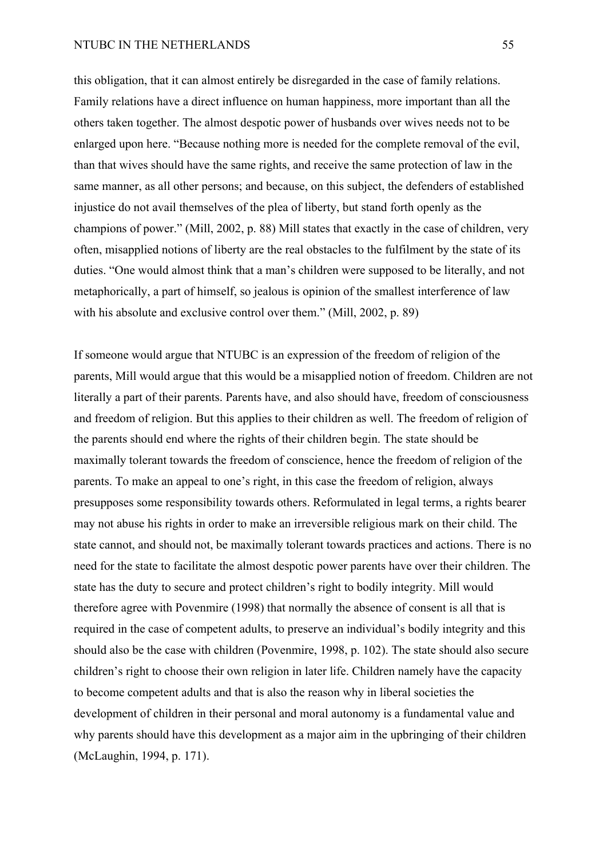## NTUBC IN THE NETHERLANDS 55

this obligation, that it can almost entirely be disregarded in the case of family relations. Family relations have a direct influence on human happiness, more important than all the others taken together. The almost despotic power of husbands over wives needs not to be enlarged upon here. "Because nothing more is needed for the complete removal of the evil, than that wives should have the same rights, and receive the same protection of law in the same manner, as all other persons; and because, on this subject, the defenders of established injustice do not avail themselves of the plea of liberty, but stand forth openly as the champions of power." (Mill, 2002, p. 88) Mill states that exactly in the case of children, very often, misapplied notions of liberty are the real obstacles to the fulfilment by the state of its duties. "One would almost think that a man's children were supposed to be literally, and not metaphorically, a part of himself, so jealous is opinion of the smallest interference of law with his absolute and exclusive control over them." (Mill, 2002, p. 89)

If someone would argue that NTUBC is an expression of the freedom of religion of the parents, Mill would argue that this would be a misapplied notion of freedom. Children are not literally a part of their parents. Parents have, and also should have, freedom of consciousness and freedom of religion. But this applies to their children as well. The freedom of religion of the parents should end where the rights of their children begin. The state should be maximally tolerant towards the freedom of conscience, hence the freedom of religion of the parents. To make an appeal to one's right, in this case the freedom of religion, always presupposes some responsibility towards others. Reformulated in legal terms, a rights bearer may not abuse his rights in order to make an irreversible religious mark on their child. The state cannot, and should not, be maximally tolerant towards practices and actions. There is no need for the state to facilitate the almost despotic power parents have over their children. The state has the duty to secure and protect children's right to bodily integrity. Mill would therefore agree with Povenmire (1998) that normally the absence of consent is all that is required in the case of competent adults, to preserve an individual's bodily integrity and this should also be the case with children (Povenmire, 1998, p. 102). The state should also secure children's right to choose their own religion in later life. Children namely have the capacity to become competent adults and that is also the reason why in liberal societies the development of children in their personal and moral autonomy is a fundamental value and why parents should have this development as a major aim in the upbringing of their children (McLaughin, 1994, p. 171).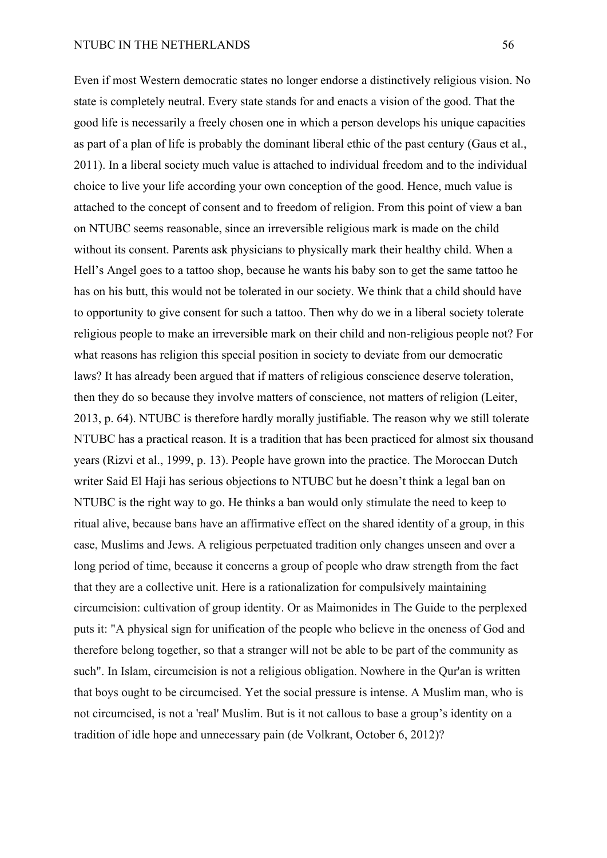#### NTUBC IN THE NETHERLANDS 56

Even if most Western democratic states no longer endorse a distinctively religious vision. No state is completely neutral. Every state stands for and enacts a vision of the good. That the good life is necessarily a freely chosen one in which a person develops his unique capacities as part of a plan of life is probably the dominant liberal ethic of the past century (Gaus et al., 2011). In a liberal society much value is attached to individual freedom and to the individual choice to live your life according your own conception of the good. Hence, much value is attached to the concept of consent and to freedom of religion. From this point of view a ban on NTUBC seems reasonable, since an irreversible religious mark is made on the child without its consent. Parents ask physicians to physically mark their healthy child. When a Hell's Angel goes to a tattoo shop, because he wants his baby son to get the same tattoo he has on his butt, this would not be tolerated in our society. We think that a child should have to opportunity to give consent for such a tattoo. Then why do we in a liberal society tolerate religious people to make an irreversible mark on their child and non-religious people not? For what reasons has religion this special position in society to deviate from our democratic laws? It has already been argued that if matters of religious conscience deserve toleration, then they do so because they involve matters of conscience, not matters of religion (Leiter, 2013, p. 64). NTUBC is therefore hardly morally justifiable. The reason why we still tolerate NTUBC has a practical reason. It is a tradition that has been practiced for almost six thousand years (Rizvi et al., 1999, p. 13). People have grown into the practice. The Moroccan Dutch writer Said El Haji has serious objections to NTUBC but he doesn't think a legal ban on NTUBC is the right way to go. He thinks a ban would only stimulate the need to keep to ritual alive, because bans have an affirmative effect on the shared identity of a group, in this case, Muslims and Jews. A religious perpetuated tradition only changes unseen and over a long period of time, because it concerns a group of people who draw strength from the fact that they are a collective unit. Here is a rationalization for compulsively maintaining circumcision: cultivation of group identity. Or as Maimonides in The Guide to the perplexed puts it: "A physical sign for unification of the people who believe in the oneness of God and therefore belong together, so that a stranger will not be able to be part of the community as such". In Islam, circumcision is not a religious obligation. Nowhere in the Qur'an is written that boys ought to be circumcised. Yet the social pressure is intense. A Muslim man, who is not circumcised, is not a 'real' Muslim. But is it not callous to base a group's identity on a tradition of idle hope and unnecessary pain (de Volkrant, October 6, 2012)?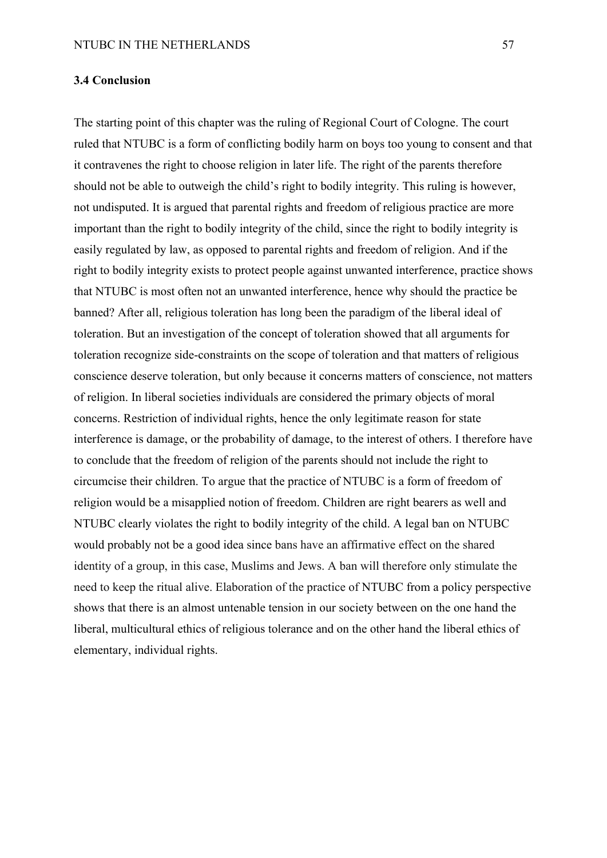#### **3.4 Conclusion**

The starting point of this chapter was the ruling of Regional Court of Cologne. The court ruled that NTUBC is a form of conflicting bodily harm on boys too young to consent and that it contravenes the right to choose religion in later life. The right of the parents therefore should not be able to outweigh the child's right to bodily integrity. This ruling is however, not undisputed. It is argued that parental rights and freedom of religious practice are more important than the right to bodily integrity of the child, since the right to bodily integrity is easily regulated by law, as opposed to parental rights and freedom of religion. And if the right to bodily integrity exists to protect people against unwanted interference, practice shows that NTUBC is most often not an unwanted interference, hence why should the practice be banned? After all, religious toleration has long been the paradigm of the liberal ideal of toleration. But an investigation of the concept of toleration showed that all arguments for toleration recognize side-constraints on the scope of toleration and that matters of religious conscience deserve toleration, but only because it concerns matters of conscience, not matters of religion. In liberal societies individuals are considered the primary objects of moral concerns. Restriction of individual rights, hence the only legitimate reason for state interference is damage, or the probability of damage, to the interest of others. I therefore have to conclude that the freedom of religion of the parents should not include the right to circumcise their children. To argue that the practice of NTUBC is a form of freedom of religion would be a misapplied notion of freedom. Children are right bearers as well and NTUBC clearly violates the right to bodily integrity of the child. A legal ban on NTUBC would probably not be a good idea since bans have an affirmative effect on the shared identity of a group, in this case, Muslims and Jews. A ban will therefore only stimulate the need to keep the ritual alive. Elaboration of the practice of NTUBC from a policy perspective shows that there is an almost untenable tension in our society between on the one hand the liberal, multicultural ethics of religious tolerance and on the other hand the liberal ethics of elementary, individual rights.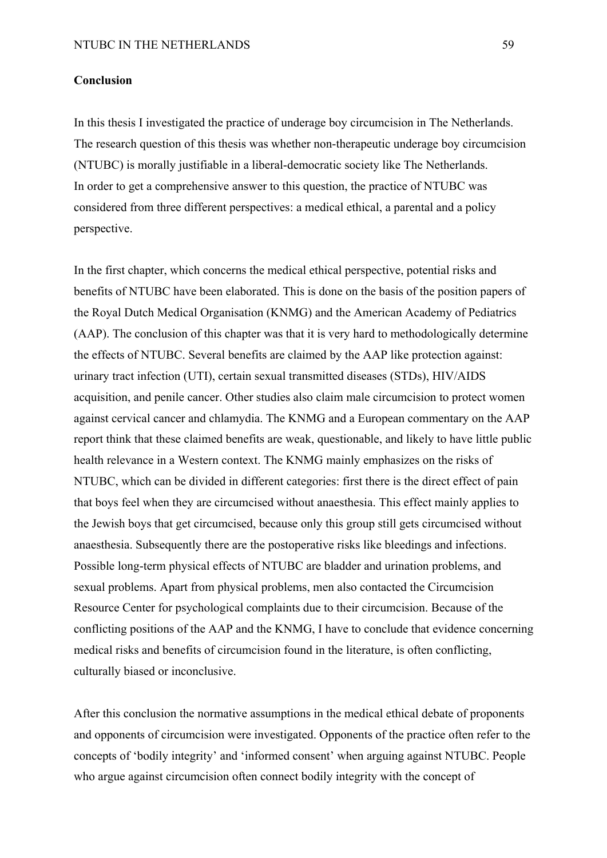### **Conclusion**

In this thesis I investigated the practice of underage boy circumcision in The Netherlands. The research question of this thesis was whether non-therapeutic underage boy circumcision (NTUBC) is morally justifiable in a liberal-democratic society like The Netherlands. In order to get a comprehensive answer to this question, the practice of NTUBC was considered from three different perspectives: a medical ethical, a parental and a policy perspective.

In the first chapter, which concerns the medical ethical perspective, potential risks and benefits of NTUBC have been elaborated. This is done on the basis of the position papers of the Royal Dutch Medical Organisation (KNMG) and the American Academy of Pediatrics (AAP). The conclusion of this chapter was that it is very hard to methodologically determine the effects of NTUBC. Several benefits are claimed by the AAP like protection against: urinary tract infection (UTI), certain sexual transmitted diseases (STDs), HIV/AIDS acquisition, and penile cancer. Other studies also claim male circumcision to protect women against cervical cancer and chlamydia. The KNMG and a European commentary on the AAP report think that these claimed benefits are weak, questionable, and likely to have little public health relevance in a Western context. The KNMG mainly emphasizes on the risks of NTUBC, which can be divided in different categories: first there is the direct effect of pain that boys feel when they are circumcised without anaesthesia. This effect mainly applies to the Jewish boys that get circumcised, because only this group still gets circumcised without anaesthesia. Subsequently there are the postoperative risks like bleedings and infections. Possible long-term physical effects of NTUBC are bladder and urination problems, and sexual problems. Apart from physical problems, men also contacted the Circumcision Resource Center for psychological complaints due to their circumcision. Because of the conflicting positions of the AAP and the KNMG, I have to conclude that evidence concerning medical risks and benefits of circumcision found in the literature, is often conflicting, culturally biased or inconclusive.

After this conclusion the normative assumptions in the medical ethical debate of proponents and opponents of circumcision were investigated. Opponents of the practice often refer to the concepts of 'bodily integrity' and 'informed consent' when arguing against NTUBC. People who argue against circumcision often connect bodily integrity with the concept of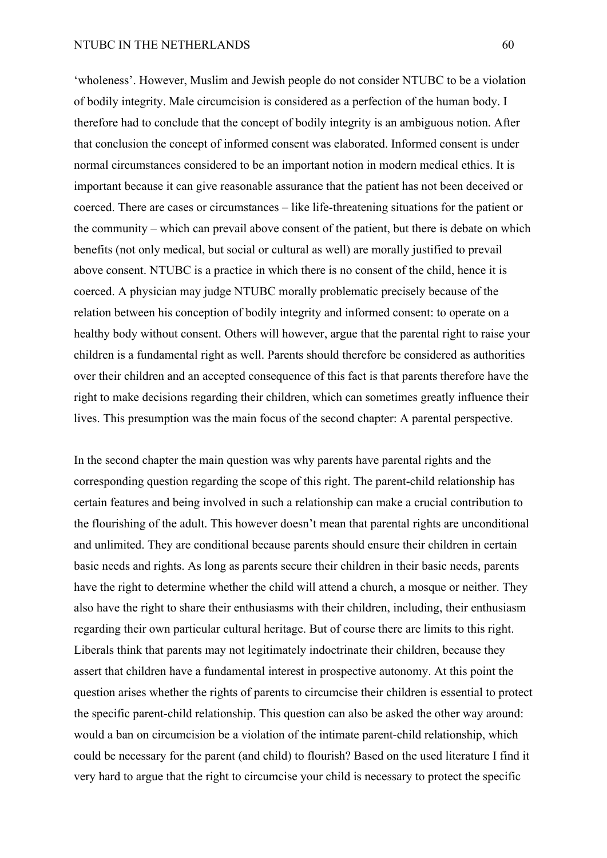#### NTUBC IN THE NETHERLANDS 60

'wholeness'. However, Muslim and Jewish people do not consider NTUBC to be a violation of bodily integrity. Male circumcision is considered as a perfection of the human body. I therefore had to conclude that the concept of bodily integrity is an ambiguous notion. After that conclusion the concept of informed consent was elaborated. Informed consent is under normal circumstances considered to be an important notion in modern medical ethics. It is important because it can give reasonable assurance that the patient has not been deceived or coerced. There are cases or circumstances – like life-threatening situations for the patient or the community – which can prevail above consent of the patient, but there is debate on which benefits (not only medical, but social or cultural as well) are morally justified to prevail above consent. NTUBC is a practice in which there is no consent of the child, hence it is coerced. A physician may judge NTUBC morally problematic precisely because of the relation between his conception of bodily integrity and informed consent: to operate on a healthy body without consent. Others will however, argue that the parental right to raise your children is a fundamental right as well. Parents should therefore be considered as authorities over their children and an accepted consequence of this fact is that parents therefore have the right to make decisions regarding their children, which can sometimes greatly influence their lives. This presumption was the main focus of the second chapter: A parental perspective.

In the second chapter the main question was why parents have parental rights and the corresponding question regarding the scope of this right. The parent-child relationship has certain features and being involved in such a relationship can make a crucial contribution to the flourishing of the adult. This however doesn't mean that parental rights are unconditional and unlimited. They are conditional because parents should ensure their children in certain basic needs and rights. As long as parents secure their children in their basic needs, parents have the right to determine whether the child will attend a church, a mosque or neither. They also have the right to share their enthusiasms with their children, including, their enthusiasm regarding their own particular cultural heritage. But of course there are limits to this right. Liberals think that parents may not legitimately indoctrinate their children, because they assert that children have a fundamental interest in prospective autonomy. At this point the question arises whether the rights of parents to circumcise their children is essential to protect the specific parent-child relationship. This question can also be asked the other way around: would a ban on circumcision be a violation of the intimate parent-child relationship, which could be necessary for the parent (and child) to flourish? Based on the used literature I find it very hard to argue that the right to circumcise your child is necessary to protect the specific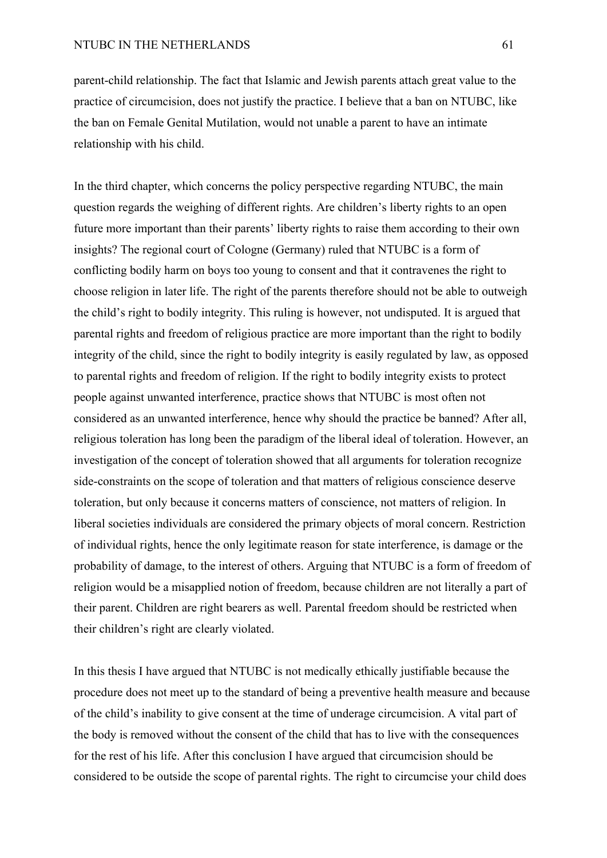parent-child relationship. The fact that Islamic and Jewish parents attach great value to the practice of circumcision, does not justify the practice. I believe that a ban on NTUBC, like the ban on Female Genital Mutilation, would not unable a parent to have an intimate relationship with his child.

In the third chapter, which concerns the policy perspective regarding NTUBC, the main question regards the weighing of different rights. Are children's liberty rights to an open future more important than their parents' liberty rights to raise them according to their own insights? The regional court of Cologne (Germany) ruled that NTUBC is a form of conflicting bodily harm on boys too young to consent and that it contravenes the right to choose religion in later life. The right of the parents therefore should not be able to outweigh the child's right to bodily integrity. This ruling is however, not undisputed. It is argued that parental rights and freedom of religious practice are more important than the right to bodily integrity of the child, since the right to bodily integrity is easily regulated by law, as opposed to parental rights and freedom of religion. If the right to bodily integrity exists to protect people against unwanted interference, practice shows that NTUBC is most often not considered as an unwanted interference, hence why should the practice be banned? After all, religious toleration has long been the paradigm of the liberal ideal of toleration. However, an investigation of the concept of toleration showed that all arguments for toleration recognize side-constraints on the scope of toleration and that matters of religious conscience deserve toleration, but only because it concerns matters of conscience, not matters of religion. In liberal societies individuals are considered the primary objects of moral concern. Restriction of individual rights, hence the only legitimate reason for state interference, is damage or the probability of damage, to the interest of others. Arguing that NTUBC is a form of freedom of religion would be a misapplied notion of freedom, because children are not literally a part of their parent. Children are right bearers as well. Parental freedom should be restricted when their children's right are clearly violated.

In this thesis I have argued that NTUBC is not medically ethically justifiable because the procedure does not meet up to the standard of being a preventive health measure and because of the child's inability to give consent at the time of underage circumcision. A vital part of the body is removed without the consent of the child that has to live with the consequences for the rest of his life. After this conclusion I have argued that circumcision should be considered to be outside the scope of parental rights. The right to circumcise your child does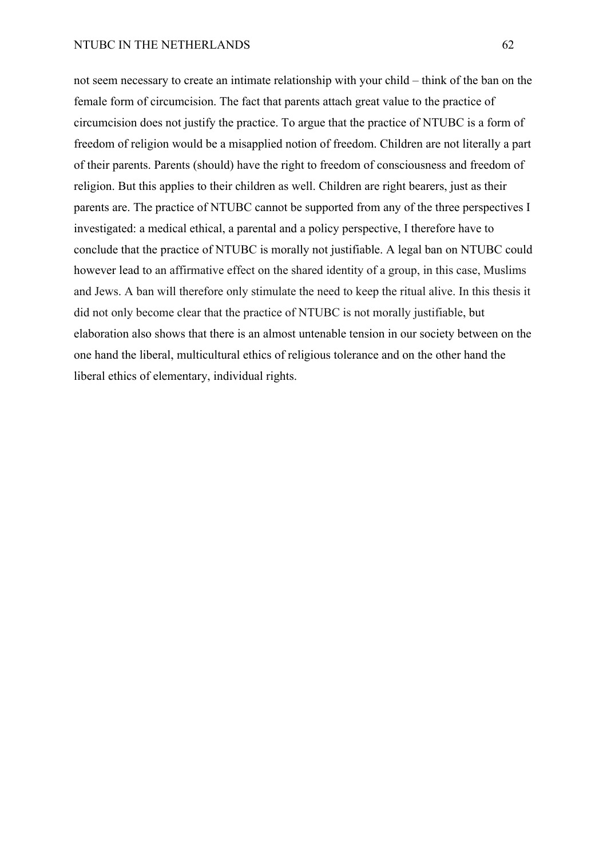not seem necessary to create an intimate relationship with your child – think of the ban on the female form of circumcision. The fact that parents attach great value to the practice of circumcision does not justify the practice. To argue that the practice of NTUBC is a form of freedom of religion would be a misapplied notion of freedom. Children are not literally a part of their parents. Parents (should) have the right to freedom of consciousness and freedom of religion. But this applies to their children as well. Children are right bearers, just as their parents are. The practice of NTUBC cannot be supported from any of the three perspectives I investigated: a medical ethical, a parental and a policy perspective, I therefore have to conclude that the practice of NTUBC is morally not justifiable. A legal ban on NTUBC could however lead to an affirmative effect on the shared identity of a group, in this case, Muslims and Jews. A ban will therefore only stimulate the need to keep the ritual alive. In this thesis it did not only become clear that the practice of NTUBC is not morally justifiable, but elaboration also shows that there is an almost untenable tension in our society between on the one hand the liberal, multicultural ethics of religious tolerance and on the other hand the liberal ethics of elementary, individual rights.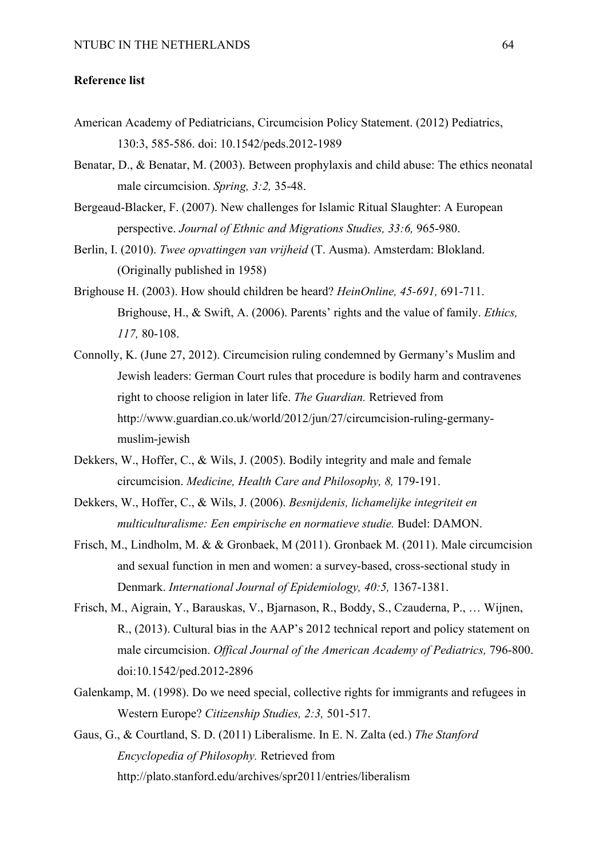#### **Reference list**

- American Academy of Pediatricians, Circumcision Policy Statement. (2012) Pediatrics, 130:3, 585-586. doi: 10.1542/peds.2012-1989
- Benatar, D., & Benatar, M. (2003). Between prophylaxis and child abuse: The ethics neonatal male circumcision. *Spring, 3:2,* 35-48.
- Bergeaud-Blacker, F. (2007). New challenges for Islamic Ritual Slaughter: A European perspective. *Journal of Ethnic and Migrations Studies, 33:6,* 965-980.
- Berlin, I. (2010). *Twee opvattingen van vrijheid* (T. Ausma). Amsterdam: Blokland. (Originally published in 1958)
- Brighouse H. (2003). How should children be heard? *HeinOnline, 45-691,* 691-711. Brighouse, H., & Swift, A. (2006). Parents' rights and the value of family. *Ethics, 117,* 80-108.
- Connolly, K. (June 27, 2012). Circumcision ruling condemned by Germany's Muslim and Jewish leaders: German Court rules that procedure is bodily harm and contravenes right to choose religion in later life. *The Guardian.* Retrieved from http://www.guardian.co.uk/world/2012/jun/27/circumcision-ruling-germanymuslim-jewish
- Dekkers, W., Hoffer, C., & Wils, J. (2005). Bodily integrity and male and female circumcision. *Medicine, Health Care and Philosophy, 8,* 179-191.
- Dekkers, W., Hoffer, C., & Wils, J. (2006). *Besnijdenis, lichamelijke integriteit en multiculturalisme: Een empirische en normatieve studie.* Budel: DAMON.
- Frisch, M., Lindholm, M. & & Gronbaek, M (2011). Gronbaek M. (2011). Male circumcision and sexual function in men and women: a survey-based, cross-sectional study in Denmark. *International Journal of Epidemiology, 40:5,* 1367-1381.
- Frisch, M., Aigrain, Y., Barauskas, V., Bjarnason, R., Boddy, S., Czauderna, P., … Wijnen, R., (2013). Cultural bias in the AAP's 2012 technical report and policy statement on male circumcision. *Offical Journal of the American Academy of Pediatrics*, 796-800. doi:10.1542/ped.2012-2896
- Galenkamp, M. (1998). Do we need special, collective rights for immigrants and refugees in Western Europe? *Citizenship Studies, 2:3,* 501-517.
- Gaus, G., & Courtland, S. D. (2011) Liberalisme. In E. N. Zalta (ed.) *The Stanford Encyclopedia of Philosophy.* Retrieved from http://plato.stanford.edu/archives/spr2011/entries/liberalism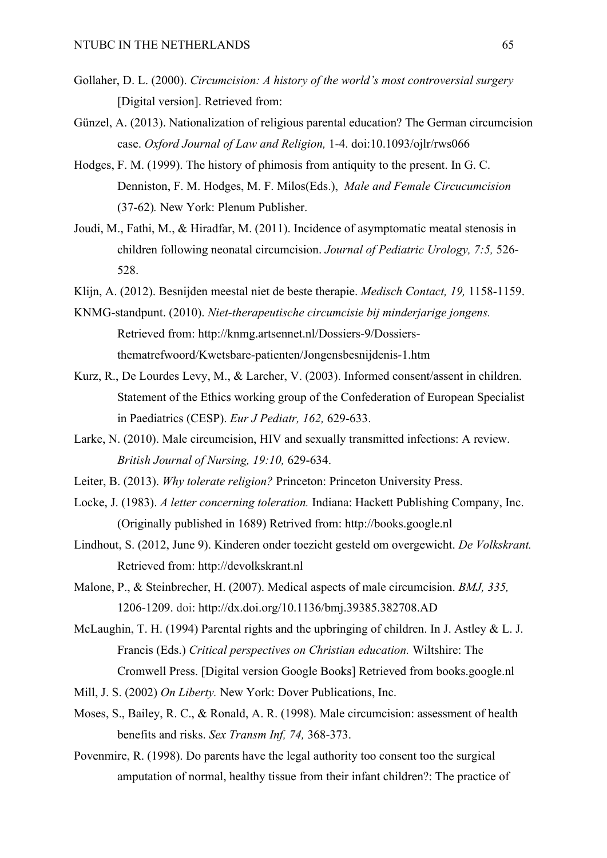- Gollaher, D. L. (2000). *Circumcision: A history of the world's most controversial surgery* [Digital version]. Retrieved from:
- Günzel, A. (2013). Nationalization of religious parental education? The German circumcision case. *Oxford Journal of Law and Religion,* 1-4. doi:10.1093/ojlr/rws066
- Hodges, F. M. (1999). The history of phimosis from antiquity to the present. In G. C. Denniston, F. M. Hodges, M. F. Milos(Eds.), *Male and Female Circucumcision*  (37-62)*.* New York: Plenum Publisher.
- Joudi, M., Fathi, M., & Hiradfar, M. (2011). Incidence of asymptomatic meatal stenosis in children following neonatal circumcision. *Journal of Pediatric Urology, 7:5,* 526- 528.
- Klijn, A. (2012). Besnijden meestal niet de beste therapie. *Medisch Contact, 19,* 1158-1159.
- KNMG-standpunt. (2010). *Niet-therapeutische circumcisie bij minderjarige jongens.*  Retrieved from: http://knmg.artsennet.nl/Dossiers-9/Dossiersthematrefwoord/Kwetsbare-patienten/Jongensbesnijdenis-1.htm
- Kurz, R., De Lourdes Levy, M., & Larcher, V. (2003). Informed consent/assent in children. Statement of the Ethics working group of the Confederation of European Specialist in Paediatrics (CESP). *Eur J Pediatr, 162,* 629-633.
- Larke, N. (2010). Male circumcision, HIV and sexually transmitted infections: A review. *British Journal of Nursing, 19:10,* 629-634.
- Leiter, B. (2013). *Why tolerate religion?* Princeton: Princeton University Press.
- Locke, J. (1983). *A letter concerning toleration.* Indiana: Hackett Publishing Company, Inc. (Originally published in 1689) Retrived from: http://books.google.nl
- Lindhout, S. (2012, June 9). Kinderen onder toezicht gesteld om overgewicht. *De Volkskrant.*  Retrieved from: http://devolkskrant.nl
- Malone, P., & Steinbrecher, H. (2007). Medical aspects of male circumcision. *BMJ, 335,*  1206-1209. doi: http://dx.doi.org/10.1136/bmj.39385.382708.AD
- McLaughin, T. H. (1994) Parental rights and the upbringing of children. In J. Astley & L. J. Francis (Eds.) *Critical perspectives on Christian education.* Wiltshire: The Cromwell Press. [Digital version Google Books] Retrieved from books.google.nl
- Mill, J. S. (2002) *On Liberty.* New York: Dover Publications, Inc.
- Moses, S., Bailey, R. C., & Ronald, A. R. (1998). Male circumcision: assessment of health benefits and risks. *Sex Transm Inf, 74,* 368-373.
- Povenmire, R. (1998). Do parents have the legal authority too consent too the surgical amputation of normal, healthy tissue from their infant children?: The practice of